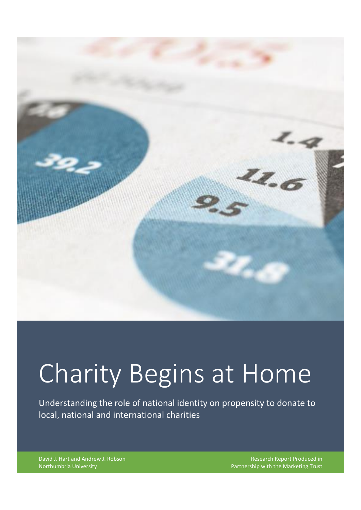

# Charity Begins at Home

Understanding the role of national identity on propensity to donate to local, national and international charities

David J. Hart and Andrew J. Robson Northumbria University

Research Report Produced in Partnership with the Marketing Trust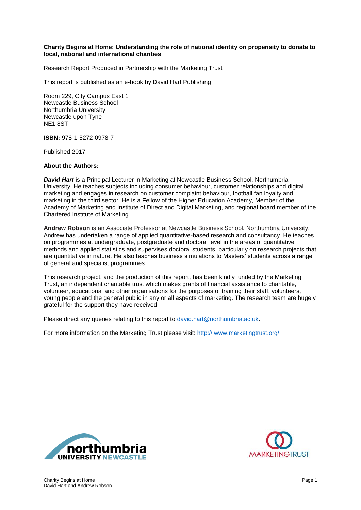#### **Charity Begins at Home: Understanding the role of national identity on propensity to donate to local, national and international charities**

Research Report Produced in Partnership with the Marketing Trust

This report is published as an e-book by David Hart Publishing

Room 229, City Campus East 1 Newcastle Business School Northumbria University Newcastle upon Tyne NE1 8ST

**ISBN:** 978-1-5272-0978-7

Published 2017

#### **About the Authors:**

*David Hart* is a Principal Lecturer in Marketing at Newcastle Business School, Northumbria University. He teaches subjects including consumer behaviour, customer relationships and digital marketing and engages in research on customer complaint behaviour, football fan loyalty and marketing in the third sector. He is a Fellow of the Higher Education Academy, Member of the Academy of Marketing and Institute of Direct and Digital Marketing, and regional board member of the Chartered Institute of Marketing.

**Andrew Robson** is an Associate Professor at Newcastle Business School, Northumbria University. Andrew has undertaken a range of applied quantitative-based research and consultancy. He teaches on programmes at undergraduate, postgraduate and doctoral level in the areas of quantitative methods and applied statistics and supervises doctoral students, particularly on research projects that are quantitative in nature. He also teaches business simulations to Masters' students across a range of general and specialist programmes.

This research project, and the production of this report, has been kindly funded by the Marketing Trust, an independent charitable trust which makes grants of financial assistance to charitable, volunteer, educational and other organisations for the purposes of training their staff, volunteers, young people and the general public in any or all aspects of marketing. The research team are hugely grateful for the support they have received.

Please direct any queries relating to this report to [david.hart@northumbria.ac.uk.](mailto:david.hart@northumbria.ac.uk)

For more information on the Marketing Trust please visit: http:// [www.marketingtrust.org/.](http://www.marketingtrust.org/)



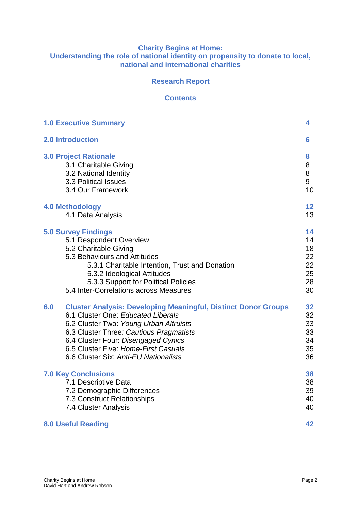#### **Charity Begins at Home: Understanding the role of national identity on propensity to donate to local, national and international charities**

## **Research Report**

#### **Contents**

| <b>1.0 Executive Summary</b>                                                                                                                                                                                                                                                                                                    | 4                                      |
|---------------------------------------------------------------------------------------------------------------------------------------------------------------------------------------------------------------------------------------------------------------------------------------------------------------------------------|----------------------------------------|
| <b>2.0 Introduction</b>                                                                                                                                                                                                                                                                                                         | 6                                      |
| <b>3.0 Project Rationale</b>                                                                                                                                                                                                                                                                                                    | 8                                      |
| 3.1 Charitable Giving                                                                                                                                                                                                                                                                                                           | 8                                      |
| 3.2 National Identity                                                                                                                                                                                                                                                                                                           | 8                                      |
| 3.3 Political Issues                                                                                                                                                                                                                                                                                                            | 9                                      |
| 3.4 Our Framework                                                                                                                                                                                                                                                                                                               | 10                                     |
| <b>4.0 Methodology</b>                                                                                                                                                                                                                                                                                                          | 12                                     |
| 4.1 Data Analysis                                                                                                                                                                                                                                                                                                               | 13                                     |
| <b>5.0 Survey Findings</b>                                                                                                                                                                                                                                                                                                      | 14                                     |
| 5.1 Respondent Overview                                                                                                                                                                                                                                                                                                         | 14                                     |
| 5.2 Charitable Giving                                                                                                                                                                                                                                                                                                           | 18                                     |
| 5.3 Behaviours and Attitudes                                                                                                                                                                                                                                                                                                    | 22                                     |
| 5.3.1 Charitable Intention, Trust and Donation                                                                                                                                                                                                                                                                                  | 22                                     |
| 5.3.2 Ideological Attitudes                                                                                                                                                                                                                                                                                                     | 25                                     |
| 5.3.3 Support for Political Policies                                                                                                                                                                                                                                                                                            | 28                                     |
| 5.4 Inter-Correlations across Measures                                                                                                                                                                                                                                                                                          | 30                                     |
| <b>Cluster Analysis: Developing Meaningful, Distinct Donor Groups</b><br>6.0<br>6.1 Cluster One: Educated Liberals<br>6.2 Cluster Two: Young Urban Altruists<br>6.3 Cluster Three: Cautious Pragmatists<br>6.4 Cluster Four: Disengaged Cynics<br>6.5 Cluster Five: Home-First Casuals<br>6.6 Cluster Six: Anti-EU Nationalists | 32<br>32<br>33<br>33<br>34<br>35<br>36 |
| <b>7.0 Key Conclusions</b>                                                                                                                                                                                                                                                                                                      | 38                                     |
| 7.1 Descriptive Data                                                                                                                                                                                                                                                                                                            | 38                                     |
| 7.2 Demographic Differences                                                                                                                                                                                                                                                                                                     | 39                                     |
| 7.3 Construct Relationships                                                                                                                                                                                                                                                                                                     | 40                                     |
| 7.4 Cluster Analysis                                                                                                                                                                                                                                                                                                            | 40                                     |
| <b>8.0 Useful Reading</b>                                                                                                                                                                                                                                                                                                       | 42                                     |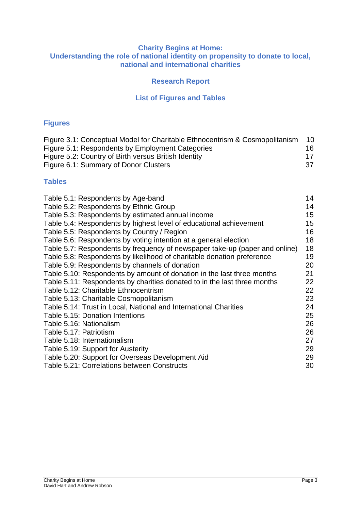#### **Charity Begins at Home: Understanding the role of national identity on propensity to donate to local, national and international charities**

## **Research Report**

## **List of Figures and Tables**

## **Figures**

| Figure 3.1: Conceptual Model for Charitable Ethnocentrism & Cosmopolitanism | 10  |
|-----------------------------------------------------------------------------|-----|
| Figure 5.1: Respondents by Employment Categories                            | 16. |
| Figure 5.2: Country of Birth versus British Identity                        |     |
| Figure 6.1: Summary of Donor Clusters                                       | .37 |

## **Tables**

| Table 5.1: Respondents by Age-band                                          | 14 |
|-----------------------------------------------------------------------------|----|
| Table 5.2: Respondents by Ethnic Group                                      | 14 |
|                                                                             |    |
| Table 5.3: Respondents by estimated annual income                           | 15 |
| Table 5.4: Respondents by highest level of educational achievement          | 15 |
| Table 5.5: Respondents by Country / Region                                  | 16 |
| Table 5.6: Respondents by voting intention at a general election            | 18 |
| Table 5.7: Respondents by frequency of newspaper take-up (paper and online) | 18 |
| Table 5.8: Respondents by likelihood of charitable donation preference      | 19 |
| Table 5.9: Respondents by channels of donation                              | 20 |
| Table 5.10: Respondents by amount of donation in the last three months      | 21 |
| Table 5.11: Respondents by charities donated to in the last three months    | 22 |
| Table 5.12: Charitable Ethnocentrism                                        | 22 |
| Table 5.13: Charitable Cosmopolitanism                                      | 23 |
| Table 5.14: Trust in Local, National and International Charities            | 24 |
| Table 5.15: Donation Intentions                                             | 25 |
| Table 5.16: Nationalism                                                     | 26 |
| Table 5.17: Patriotism                                                      | 26 |
| Table 5.18: Internationalism                                                | 27 |
| Table 5.19: Support for Austerity                                           | 29 |
| Table 5.20: Support for Overseas Development Aid                            | 29 |
| Table 5.21: Correlations between Constructs                                 | 30 |
|                                                                             |    |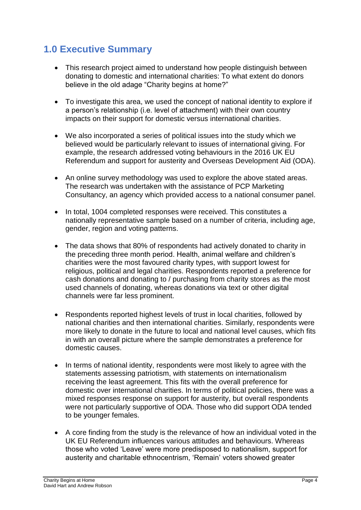# **1.0 Executive Summary**

- This research project aimed to understand how people distinguish between donating to domestic and international charities: To what extent do donors believe in the old adage "Charity begins at home?"
- To investigate this area, we used the concept of national identity to explore if a person's relationship (i.e. level of attachment) with their own country impacts on their support for domestic versus international charities.
- We also incorporated a series of political issues into the study which we believed would be particularly relevant to issues of international giving. For example, the research addressed voting behaviours in the 2016 UK EU Referendum and support for austerity and Overseas Development Aid (ODA).
- An online survey methodology was used to explore the above stated areas. The research was undertaken with the assistance of PCP Marketing Consultancy, an agency which provided access to a national consumer panel.
- In total, 1004 completed responses were received. This constitutes a nationally representative sample based on a number of criteria, including age, gender, region and voting patterns.
- The data shows that 80% of respondents had actively donated to charity in the preceding three month period. Health, animal welfare and children's charities were the most favoured charity types, with support lowest for religious, political and legal charities. Respondents reported a preference for cash donations and donating to / purchasing from charity stores as the most used channels of donating, whereas donations via text or other digital channels were far less prominent.
- Respondents reported highest levels of trust in local charities, followed by national charities and then international charities. Similarly, respondents were more likely to donate in the future to local and national level causes, which fits in with an overall picture where the sample demonstrates a preference for domestic causes.
- In terms of national identity, respondents were most likely to agree with the statements assessing patriotism, with statements on internationalism receiving the least agreement. This fits with the overall preference for domestic over international charities. In terms of political policies, there was a mixed responses response on support for austerity, but overall respondents were not particularly supportive of ODA. Those who did support ODA tended to be younger females.
- A core finding from the study is the relevance of how an individual voted in the UK EU Referendum influences various attitudes and behaviours. Whereas those who voted 'Leave' were more predisposed to nationalism, support for austerity and charitable ethnocentrism, 'Remain' voters showed greater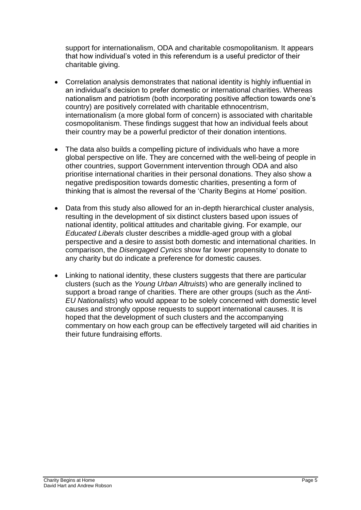support for internationalism, ODA and charitable cosmopolitanism. It appears that how individual's voted in this referendum is a useful predictor of their charitable giving.

- Correlation analysis demonstrates that national identity is highly influential in an individual's decision to prefer domestic or international charities. Whereas nationalism and patriotism (both incorporating positive affection towards one's country) are positively correlated with charitable ethnocentrism, internationalism (a more global form of concern) is associated with charitable cosmopolitanism. These findings suggest that how an individual feels about their country may be a powerful predictor of their donation intentions.
- The data also builds a compelling picture of individuals who have a more global perspective on life. They are concerned with the well-being of people in other countries, support Government intervention through ODA and also prioritise international charities in their personal donations. They also show a negative predisposition towards domestic charities, presenting a form of thinking that is almost the reversal of the 'Charity Begins at Home' position.
- Data from this study also allowed for an in-depth hierarchical cluster analysis, resulting in the development of six distinct clusters based upon issues of national identity, political attitudes and charitable giving. For example, our *Educated Liberals* cluster describes a middle-aged group with a global perspective and a desire to assist both domestic and international charities. In comparison, the *Disengaged Cynics* show far lower propensity to donate to any charity but do indicate a preference for domestic causes.
- Linking to national identity, these clusters suggests that there are particular clusters (such as the *Young Urban Altruists*) who are generally inclined to support a broad range of charities. There are other groups (such as the *Anti-EU Nationalists*) who would appear to be solely concerned with domestic level causes and strongly oppose requests to support international causes. It is hoped that the development of such clusters and the accompanying commentary on how each group can be effectively targeted will aid charities in their future fundraising efforts.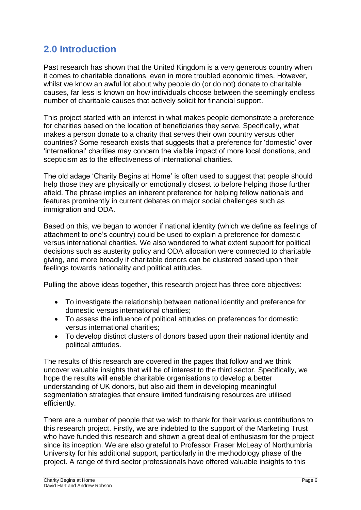# **2.0 Introduction**

Past research has shown that the United Kingdom is a very generous country when it comes to charitable donations, even in more troubled economic times. However, whilst we know an awful lot about why people do (or do not) donate to charitable causes, far less is known on how individuals choose between the seemingly endless number of charitable causes that actively solicit for financial support.

This project started with an interest in what makes people demonstrate a preference for charities based on the location of beneficiaries they serve. Specifically, what makes a person donate to a charity that serves their own country versus other countries? Some research exists that suggests that a preference for 'domestic' over 'international' charities may concern the visible impact of more local donations, and scepticism as to the effectiveness of international charities.

The old adage 'Charity Begins at Home' is often used to suggest that people should help those they are physically or emotionally closest to before helping those further afield. The phrase implies an inherent preference for helping fellow nationals and features prominently in current debates on major social challenges such as immigration and ODA.

Based on this, we began to wonder if national identity (which we define as feelings of attachment to one's country) could be used to explain a preference for domestic versus international charities. We also wondered to what extent support for political decisions such as austerity policy and ODA allocation were connected to charitable giving, and more broadly if charitable donors can be clustered based upon their feelings towards nationality and political attitudes.

Pulling the above ideas together, this research project has three core objectives:

- To investigate the relationship between national identity and preference for domestic versus international charities;
- To assess the influence of political attitudes on preferences for domestic versus international charities;
- To develop distinct clusters of donors based upon their national identity and political attitudes.

The results of this research are covered in the pages that follow and we think uncover valuable insights that will be of interest to the third sector. Specifically, we hope the results will enable charitable organisations to develop a better understanding of UK donors, but also aid them in developing meaningful segmentation strategies that ensure limited fundraising resources are utilised efficiently.

There are a number of people that we wish to thank for their various contributions to this research project. Firstly, we are indebted to the support of the Marketing Trust who have funded this research and shown a great deal of enthusiasm for the project since its inception. We are also grateful to Professor Fraser McLeay of Northumbria University for his additional support, particularly in the methodology phase of the project. A range of third sector professionals have offered valuable insights to this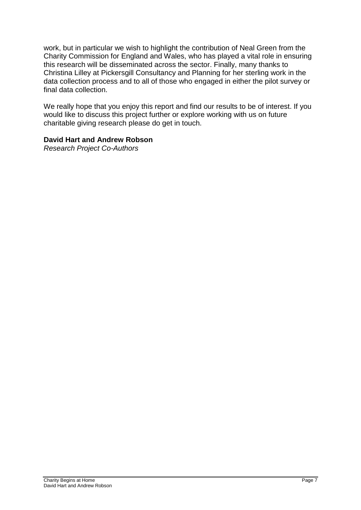work, but in particular we wish to highlight the contribution of Neal Green from the Charity Commission for England and Wales, who has played a vital role in ensuring this research will be disseminated across the sector. Finally, many thanks to Christina Lilley at Pickersgill Consultancy and Planning for her sterling work in the data collection process and to all of those who engaged in either the pilot survey or final data collection.

We really hope that you enjoy this report and find our results to be of interest. If you would like to discuss this project further or explore working with us on future charitable giving research please do get in touch.

## **David Hart and Andrew Robson**

*Research Project Co-Authors*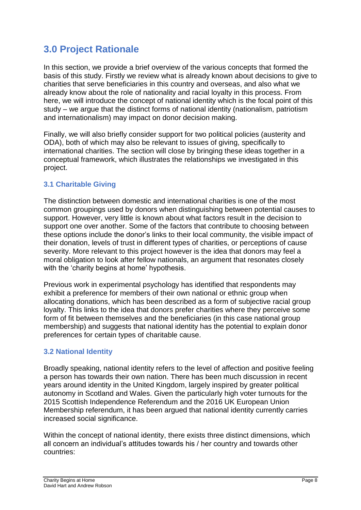# **3.0 Project Rationale**

In this section, we provide a brief overview of the various concepts that formed the basis of this study. Firstly we review what is already known about decisions to give to charities that serve beneficiaries in this country and overseas, and also what we already know about the role of nationality and racial loyalty in this process. From here, we will introduce the concept of national identity which is the focal point of this study – we argue that the distinct forms of national identity (nationalism, patriotism and internationalism) may impact on donor decision making.

Finally, we will also briefly consider support for two political policies (austerity and ODA), both of which may also be relevant to issues of giving, specifically to international charities. The section will close by bringing these ideas together in a conceptual framework, which illustrates the relationships we investigated in this project.

## **3.1 Charitable Giving**

The distinction between domestic and international charities is one of the most common groupings used by donors when distinguishing between potential causes to support. However, very little is known about what factors result in the decision to support one over another. Some of the factors that contribute to choosing between these options include the donor's links to their local community, the visible impact of their donation, levels of trust in different types of charities, or perceptions of cause severity. More relevant to this project however is the idea that donors may feel a moral obligation to look after fellow nationals, an argument that resonates closely with the 'charity begins at home' hypothesis.

Previous work in experimental psychology has identified that respondents may exhibit a preference for members of their own national or ethnic group when allocating donations, which has been described as a form of subjective racial group loyalty. This links to the idea that donors prefer charities where they perceive some form of fit between themselves and the beneficiaries (in this case national group membership) and suggests that national identity has the potential to explain donor preferences for certain types of charitable cause.

## **3.2 National Identity**

Broadly speaking, national identity refers to the level of affection and positive feeling a person has towards their own nation. There has been much discussion in recent years around identity in the United Kingdom, largely inspired by greater political autonomy in Scotland and Wales. Given the particularly high voter turnouts for the 2015 Scottish Independence Referendum and the 2016 UK European Union Membership referendum, it has been argued that national identity currently carries increased social significance.

Within the concept of national identity, there exists three distinct dimensions, which all concern an individual's attitudes towards his / her country and towards other countries: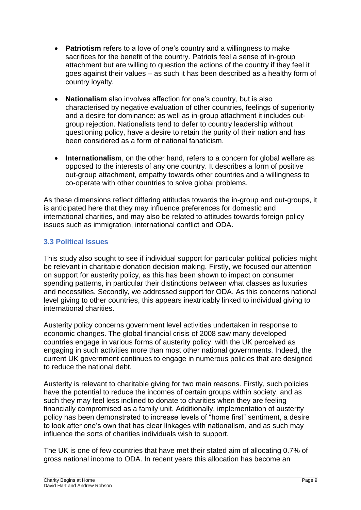- **Patriotism** refers to a love of one's country and a willingness to make sacrifices for the benefit of the country. Patriots feel a sense of in-group attachment but are willing to question the actions of the country if they feel it goes against their values – as such it has been described as a healthy form of country loyalty.
- **Nationalism** also involves affection for one's country, but is also characterised by negative evaluation of other countries, feelings of superiority and a desire for dominance: as well as in-group attachment it includes outgroup rejection. Nationalists tend to defer to country leadership without questioning policy, have a desire to retain the purity of their nation and has been considered as a form of national fanaticism.
- **Internationalism**, on the other hand, refers to a concern for global welfare as opposed to the interests of any one country. It describes a form of positive out-group attachment, empathy towards other countries and a willingness to co-operate with other countries to solve global problems.

As these dimensions reflect differing attitudes towards the in-group and out-groups, it is anticipated here that they may influence preferences for domestic and international charities, and may also be related to attitudes towards foreign policy issues such as immigration, international conflict and ODA.

## **3.3 Political Issues**

This study also sought to see if individual support for particular political policies might be relevant in charitable donation decision making. Firstly, we focused our attention on support for austerity policy, as this has been shown to impact on consumer spending patterns, in particular their distinctions between what classes as luxuries and necessities. Secondly, we addressed support for ODA. As this concerns national level giving to other countries, this appears inextricably linked to individual giving to international charities.

Austerity policy concerns government level activities undertaken in response to economic changes. The global financial crisis of 2008 saw many developed countries engage in various forms of austerity policy, with the UK perceived as engaging in such activities more than most other national governments. Indeed, the current UK government continues to engage in numerous policies that are designed to reduce the national debt.

Austerity is relevant to charitable giving for two main reasons. Firstly, such policies have the potential to reduce the incomes of certain groups within society, and as such they may feel less inclined to donate to charities when they are feeling financially compromised as a family unit. Additionally, implementation of austerity policy has been demonstrated to increase levels of "home first" sentiment, a desire to look after one's own that has clear linkages with nationalism, and as such may influence the sorts of charities individuals wish to support.

The UK is one of few countries that have met their stated aim of allocating 0.7% of gross national income to ODA. In recent years this allocation has become an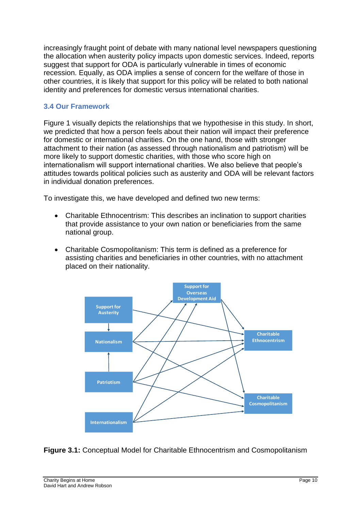increasingly fraught point of debate with many national level newspapers questioning the allocation when austerity policy impacts upon domestic services. Indeed, reports suggest that support for ODA is particularly vulnerable in times of economic recession. Equally, as ODA implies a sense of concern for the welfare of those in other countries, it is likely that support for this policy will be related to both national identity and preferences for domestic versus international charities.

## **3.4 Our Framework**

Figure 1 visually depicts the relationships that we hypothesise in this study. In short, we predicted that how a person feels about their nation will impact their preference for domestic or international charities. On the one hand, those with stronger attachment to their nation (as assessed through nationalism and patriotism) will be more likely to support domestic charities, with those who score high on internationalism will support international charities. We also believe that people's attitudes towards political policies such as austerity and ODA will be relevant factors in individual donation preferences.

To investigate this, we have developed and defined two new terms:

- Charitable Ethnocentrism: This describes an inclination to support charities that provide assistance to your own nation or beneficiaries from the same national group.
- Charitable Cosmopolitanism: This term is defined as a preference for assisting charities and beneficiaries in other countries, with no attachment placed on their nationality.



**Figure 3.1:** Conceptual Model for Charitable Ethnocentrism and Cosmopolitanism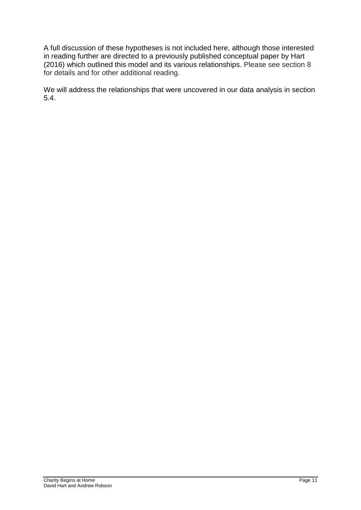A full discussion of these hypotheses is not included here, although those interested in reading further are directed to a previously published conceptual paper by Hart (2016) which outlined this model and its various relationships. Please see section 8 for details and for other additional reading.

We will address the relationships that were uncovered in our data analysis in section 5.4.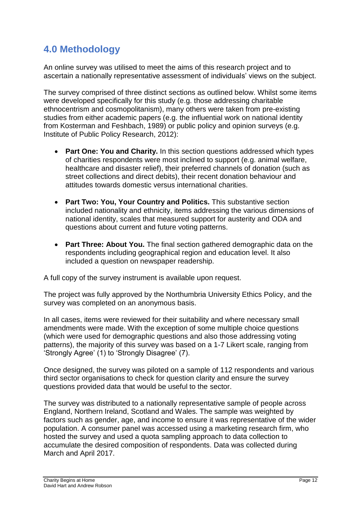# **4.0 Methodology**

An online survey was utilised to meet the aims of this research project and to ascertain a nationally representative assessment of individuals' views on the subject.

The survey comprised of three distinct sections as outlined below. Whilst some items were developed specifically for this study (e.g. those addressing charitable ethnocentrism and cosmopolitanism), many others were taken from pre-existing studies from either academic papers (e.g. the influential work on national identity from Kosterman and Feshbach, 1989) or public policy and opinion surveys (e.g. Institute of Public Policy Research, 2012):

- **Part One: You and Charity.** In this section questions addressed which types of charities respondents were most inclined to support (e.g. animal welfare, healthcare and disaster relief), their preferred channels of donation (such as street collections and direct debits), their recent donation behaviour and attitudes towards domestic versus international charities.
- **Part Two: You, Your Country and Politics.** This substantive section included nationality and ethnicity, items addressing the various dimensions of national identity, scales that measured support for austerity and ODA and questions about current and future voting patterns.
- **Part Three: About You.** The final section gathered demographic data on the respondents including geographical region and education level. It also included a question on newspaper readership.

A full copy of the survey instrument is available upon request.

The project was fully approved by the Northumbria University Ethics Policy, and the survey was completed on an anonymous basis.

In all cases, items were reviewed for their suitability and where necessary small amendments were made. With the exception of some multiple choice questions (which were used for demographic questions and also those addressing voting patterns), the majority of this survey was based on a 1-7 Likert scale, ranging from 'Strongly Agree' (1) to 'Strongly Disagree' (7).

Once designed, the survey was piloted on a sample of 112 respondents and various third sector organisations to check for question clarity and ensure the survey questions provided data that would be useful to the sector.

The survey was distributed to a nationally representative sample of people across England, Northern Ireland, Scotland and Wales. The sample was weighted by factors such as gender, age, and income to ensure it was representative of the wider population. A consumer panel was accessed using a marketing research firm, who hosted the survey and used a quota sampling approach to data collection to accumulate the desired composition of respondents. Data was collected during March and April 2017.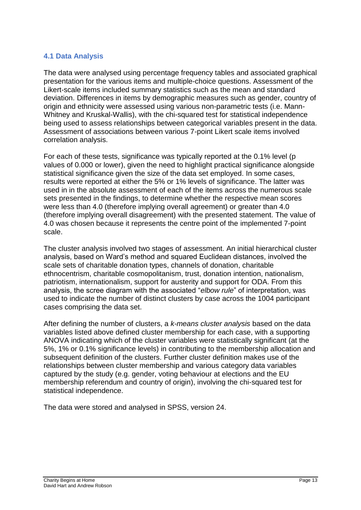## **4.1 Data Analysis**

The data were analysed using percentage frequency tables and associated graphical presentation for the various items and multiple-choice questions. Assessment of the Likert-scale items included summary statistics such as the mean and standard deviation. Differences in items by demographic measures such as gender, country of origin and ethnicity were assessed using various non-parametric tests (i.e. Mann-Whitney and Kruskal-Wallis), with the chi-squared test for statistical independence being used to assess relationships between categorical variables present in the data. Assessment of associations between various 7-point Likert scale items involved correlation analysis.

For each of these tests, significance was typically reported at the 0.1% level (p values of 0.000 or lower), given the need to highlight practical significance alongside statistical significance given the size of the data set employed. In some cases, results were reported at either the 5% or 1% levels of significance. The latter was used in in the absolute assessment of each of the items across the numerous scale sets presented in the findings, to determine whether the respective mean scores were less than 4.0 (therefore implying overall agreement) or greater than 4.0 (therefore implying overall disagreement) with the presented statement. The value of 4.0 was chosen because it represents the centre point of the implemented 7-point scale.

The cluster analysis involved two stages of assessment. An initial hierarchical cluster analysis, based on Ward's method and squared Euclidean distances, involved the scale sets of charitable donation types, channels of donation, charitable ethnocentrism, charitable cosmopolitanism, trust, donation intention, nationalism, patriotism, internationalism, support for austerity and support for ODA. From this analysis, the scree diagram with the associated "*elbow rule*" of interpretation, was used to indicate the number of distinct clusters by case across the 1004 participant cases comprising the data set.

After defining the number of clusters, a *k-means cluster analysis* based on the data variables listed above defined cluster membership for each case, with a supporting ANOVA indicating which of the cluster variables were statistically significant (at the 5%, 1% or 0.1% significance levels) in contributing to the membership allocation and subsequent definition of the clusters. Further cluster definition makes use of the relationships between cluster membership and various category data variables captured by the study (e.g. gender, voting behaviour at elections and the EU membership referendum and country of origin), involving the chi-squared test for statistical independence.

The data were stored and analysed in SPSS, version 24.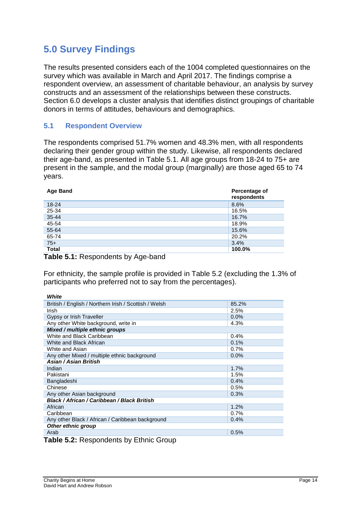# **5.0 Survey Findings**

The results presented considers each of the 1004 completed questionnaires on the survey which was available in March and April 2017. The findings comprise a respondent overview, an assessment of charitable behaviour, an analysis by survey constructs and an assessment of the relationships between these constructs. Section 6.0 develops a cluster analysis that identifies distinct groupings of charitable donors in terms of attitudes, behaviours and demographics.

### **5.1 Respondent Overview**

The respondents comprised 51.7% women and 48.3% men, with all respondents declaring their gender group within the study. Likewise, all respondents declared their age-band, as presented in Table 5.1. All age groups from 18-24 to 75+ are present in the sample, and the modal group (marginally) are those aged 65 to 74 years.

| <b>Age Band</b> | Percentage of<br>respondents |
|-----------------|------------------------------|
| 18-24           | 8.6%                         |
| 25-34           | 16.5%                        |
| 35-44           | 16.7%                        |
| 45-54           | 18.9%                        |
| 55-64           | 15.6%                        |
| 65-74           | 20.2%                        |
| $75+$           | 3.4%                         |
| <b>Total</b>    | 100.0%                       |

**Table 5.1:** Respondents by Age-band

*White*

For ethnicity, the sample profile is provided in Table 5.2 (excluding the 1.3% of participants who preferred not to say from the percentages).

| <i>vvnite</i>                                         |         |
|-------------------------------------------------------|---------|
| British / English / Northern Irish / Scottish / Welsh | 85.2%   |
| Irish                                                 | 2.5%    |
| Gypsy or Irish Traveller                              | $0.0\%$ |
| Any other White background, write in                  | 4.3%    |
| Mixed / multiple ethnic groups                        |         |
| White and Black Caribbean                             | 0.4%    |
| White and Black African                               | 0.1%    |
| White and Asian                                       | 0.7%    |
| Any other Mixed / multiple ethnic background          | $0.0\%$ |
| Asian / Asian British                                 |         |
| Indian                                                | 1.7%    |
| Pakistani                                             | 1.5%    |
| Bangladeshi                                           | 0.4%    |
| Chinese                                               | 0.5%    |
| Any other Asian background                            | 0.3%    |
| Black / African / Caribbean / Black British           |         |
| African                                               | 1.2%    |
| Caribbean                                             | 0.7%    |
| Any other Black / African / Caribbean background      | 0.4%    |
| Other ethnic group                                    |         |
| Arab                                                  | 0.5%    |
| $Table 5.9: Do can calculate by 5^{\circ}$            |         |

**Table 5.2:** Respondents by Ethnic Group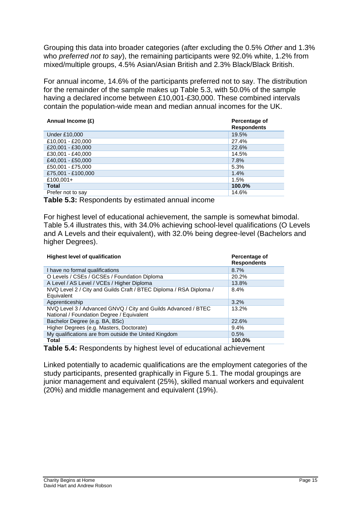Grouping this data into broader categories (after excluding the 0.5% *Other* and 1.3% who *preferred not to say*), the remaining participants were 92.0% white, 1.2% from mixed/multiple groups, 4.5% Asian/Asian British and 2.3% Black/Black British.

For annual income, 14.6% of the participants preferred not to say. The distribution for the remainder of the sample makes up Table 5.3, with 50.0% of the sample having a declared income between £10,001-£30,000. These combined intervals contain the population-wide mean and median annual incomes for the UK.

| Annual Income (£)  | Percentage of<br><b>Respondents</b> |
|--------------------|-------------------------------------|
| Under £10,000      | 19.5%                               |
| £10,001 - £20,000  | 27.4%                               |
| £20.001 - £30.000  | 22.6%                               |
| £30,001 - £40,000  | 14.5%                               |
| £40.001 - £50.000  | 7.8%                                |
| £50,001 - £75,000  | 5.3%                                |
| £75,001 - £100,000 | 1.4%                                |
| £100,001+          | 1.5%                                |
| <b>Total</b>       | 100.0%                              |
| Prefer not to say  | 14.6%                               |

**Table 5.3:** Respondents by estimated annual income

For highest level of educational achievement, the sample is somewhat bimodal. Table 5.4 illustrates this, with 34.0% achieving school-level qualifications (O Levels and A Levels and their equivalent), with 32.0% being degree-level (Bachelors and higher Degrees).

| <b>Highest level of qualification</b>                                                                      | Percentage of<br><b>Respondents</b> |
|------------------------------------------------------------------------------------------------------------|-------------------------------------|
| I have no formal qualifications                                                                            | 8.7%                                |
| O Levels / CSEs / GCSEs / Foundation Diploma                                                               | 20.2%                               |
| A Level / AS Level / VCEs / Higher Diploma                                                                 | 13.8%                               |
| NVQ Level 2 / City and Guilds Craft / BTEC Diploma / RSA Diploma /<br>Equivalent                           | $8.4\%$                             |
| Apprenticeship                                                                                             | 3.2%                                |
| NVQ Level 3 / Advanced GNVQ / City and Guilds Advanced / BTEC<br>National / Foundation Degree / Equivalent | $13.2\%$                            |
| Bachelor Degree (e.g. BA, BSc)                                                                             | 22.6%                               |
| Higher Degrees (e.g. Masters, Doctorate)                                                                   | 9.4%                                |
| My qualifications are from outside the United Kingdom                                                      | 0.5%                                |
| <b>Total</b>                                                                                               | 100.0%                              |

**Table 5.4:** Respondents by highest level of educational achievement

Linked potentially to academic qualifications are the employment categories of the study participants, presented graphically in Figure 5.1. The modal groupings are junior management and equivalent (25%), skilled manual workers and equivalent (20%) and middle management and equivalent (19%).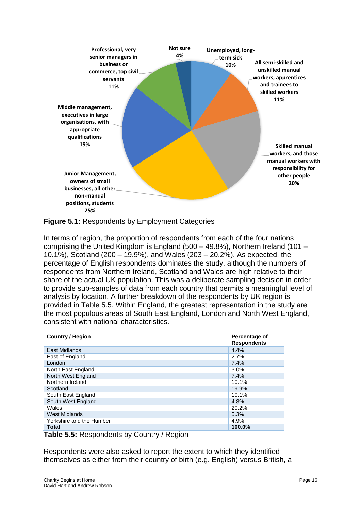

**Figure 5.1:** Respondents by Employment Categories

In terms of region, the proportion of respondents from each of the four nations comprising the United Kingdom is England (500 – 49.8%), Northern Ireland (101 – 10.1%), Scotland (200 – 19.9%), and Wales (203 – 20.2%). As expected, the percentage of English respondents dominates the study, although the numbers of respondents from Northern Ireland, Scotland and Wales are high relative to their share of the actual UK population. This was a deliberate sampling decision in order to provide sub-samples of data from each country that permits a meaningful level of analysis by location. A further breakdown of the respondents by UK region is provided in Table 5.5. Within England, the greatest representation in the study are the most populous areas of South East England, London and North West England, consistent with national characteristics.

| <b>Country / Region</b>  | Percentage of<br><b>Respondents</b> |
|--------------------------|-------------------------------------|
| East Midlands            | 4.4%                                |
| East of England          | 2.7%                                |
| London                   | 7.4%                                |
| North East England       | 3.0%                                |
| North West England       | 7.4%                                |
| Northern Ireland         | 10.1%                               |
| Scotland                 | 19.9%                               |
| South East England       | 10.1%                               |
| South West England       | 4.8%                                |
| Wales                    | 20.2%                               |
| West Midlands            | 5.3%                                |
| Yorkshire and the Humber | 4.9%                                |
| <b>Total</b>             | 100.0%                              |

**Table 5.5:** Respondents by Country / Region

Respondents were also asked to report the extent to which they identified themselves as either from their country of birth (e.g. English) versus British, a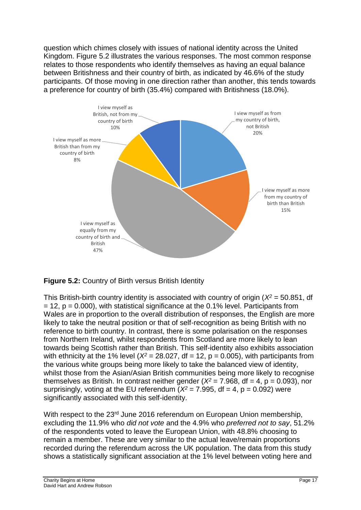question which chimes closely with issues of national identity across the United Kingdom. Figure 5.2 illustrates the various responses. The most common response relates to those respondents who identify themselves as having an equal balance between Britishness and their country of birth, as indicated by 46.6% of the study participants. Of those moving in one direction rather than another, this tends towards a preference for country of birth (35.4%) compared with Britishness (18.0%).



**Figure 5.2:** Country of Birth versus British Identity

This British-birth country identity is associated with country of origin (*X<sup>2</sup>* = 50.851, df  $= 12$ ,  $p = 0.000$ ), with statistical significance at the 0.1% level. Participants from Wales are in proportion to the overall distribution of responses, the English are more likely to take the neutral position or that of self-recognition as being British with no reference to birth country. In contrast, there is some polarisation on the responses from Northern Ireland, whilst respondents from Scotland are more likely to lean towards being Scottish rather than British. This self-identity also exhibits association with ethnicity at the 1% level ( $X^2 = 28.027$ , df = 12, p = 0.005), with participants from the various white groups being more likely to take the balanced view of identity, whilst those from the Asian/Asian British communities being more likely to recognise themselves as British. In contrast neither gender ( $X^2 = 7.968$ , df = 4, p = 0.093), nor surprisingly, voting at the EU referendum ( $X^2 = 7.995$ , df = 4, p = 0.092) were significantly associated with this self-identity.

With respect to the 23<sup>rd</sup> June 2016 referendum on European Union membership, excluding the 11.9% who *did not vote* and the 4.9% who *preferred not to say*, 51.2% of the respondents voted to leave the European Union, with 48.8% choosing to remain a member. These are very similar to the actual leave/remain proportions recorded during the referendum across the UK population. The data from this study shows a statistically significant association at the 1% level between voting here and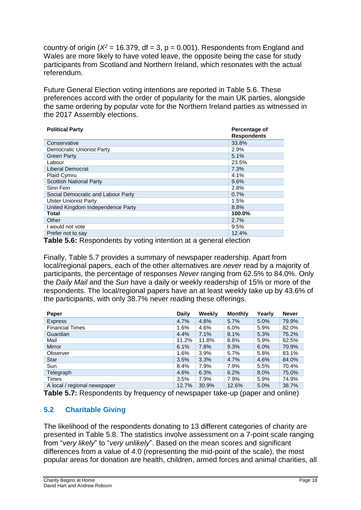country of origin ( $X^2$  = 16.379, df = 3, p = 0.001). Respondents from England and Wales are more likely to have voted leave, the opposite being the case for study participants from Scotland and Northern Ireland, which resonates with the actual referendum.

Future General Election voting intentions are reported in Table 5.6. These preferences accord with the order of popularity for the main UK parties, alongside the same ordering by popular vote for the Northern Ireland parties as witnessed in the 2017 Assembly elections.

| <b>Political Party</b>             | Percentage of<br><b>Respondents</b> |
|------------------------------------|-------------------------------------|
| Conservative                       | 33.8%                               |
| Democratic Unionist Party          | 2.9%                                |
| <b>Green Party</b>                 | 5.1%                                |
| Labour                             | 23.5%                               |
| Liberal Democrat                   | 7.3%                                |
| <b>Plaid Cymru</b>                 | 4.1%                                |
| <b>Scottish National Party</b>     | 9.6%                                |
| Sinn Fein                          | 2.8%                                |
| Social Democratic and Labour Party | 0.7%                                |
| <b>Ulster Unionist Party</b>       | 1.5%                                |
| United Kingdom Independence Party  | 8.8%                                |
| Total                              | 100.0%                              |
| Other                              | $2.7\%$                             |
| I would not vote                   | 9.5%                                |
| Prefer not to say                  | 12.4%                               |

**Table 5.6:** Respondents by voting intention at a general election

Finally, Table 5.7 provides a summary of newspaper readership. Apart from local/regional papers, each of the other alternatives are *never* read by a majority of participants, the percentage of responses *Never* ranging from 62.5% to 84.0%. Only the *Daily Mail* and the *Sun* have a daily or weekly readership of 15% or more of the respondents. The local/regional papers have an at least weekly take up by 43.6% of the participants, with only 38.7% never reading these offerings.

| Paper                        | Daily | Weekly | <b>Monthly</b> | Yearly  | <b>Never</b> |
|------------------------------|-------|--------|----------------|---------|--------------|
| <b>Express</b>               | 4.7%  | 4.8%   | 5.7%           | 5.0%    | 79.9%        |
| <b>Financial Times</b>       | 1.6%  | 4.6%   | $6.0\%$        | 5.9%    | 82.0%        |
| Guardian                     | 4.4%  | 7.1%   | 8.1%           | 5.3%    | 75.2%        |
| Mail                         | 11.2% | 11.8%  | 8.8%           | 5.9%    | 62.5%        |
| <b>Mirror</b>                | 6.1%  | 7.8%   | 9.3%           | 6.0%    | 70.9%        |
| Observer                     | 1.6%  | 3.9%   | 5.7%           | 5.8%    | 83.1%        |
| <b>Star</b>                  | 3.5%  | 3.3%   | 4.7%           | 4.6%    | 84.0%        |
| Sun                          | 8.4%  | 7.9%   | 7.9%           | 5.5%    | 70.4%        |
| Telegraph                    | 4.6%  | 6.3%   | 6.2%           | $8.0\%$ | 75.0%        |
| Times                        | 3.5%  | 7.9%   | 7.9%           | 5.9%    | 74.9%        |
| A local / regional newspaper | 12.7% | 30.9%  | 12.6%          | 5.0%    | 38.7%        |

**Table 5.7:** Respondents by frequency of newspaper take-up (paper and online)

## **5.2 Charitable Giving**

The likelihood of the respondents donating to 13 different categories of charity are presented in Table 5.8. The statistics involve assessment on a 7-point scale ranging from "*very likely*" to "*very unlikely*". Based on the mean scores and significant differences from a value of 4.0 (representing the mid-point of the scale), the most popular areas for donation are health, children, armed forces and animal charities, all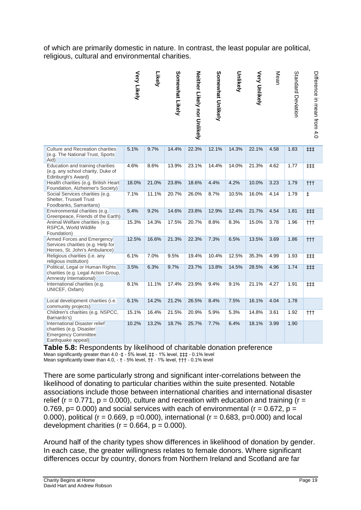of which are primarily domestic in nature. In contrast, the least popular are political, religious, cultural and environmental charities.

|                                                                                                               | <b>Very Likely</b> | Likely | Somewhat Likely | Neither Likely nor Onlikely | Somewhat Unlikely | Unlikely | <b>Very Unlikely</b> | Mean | Standard Deviation | Difference in Hear trom 4.0 |
|---------------------------------------------------------------------------------------------------------------|--------------------|--------|-----------------|-----------------------------|-------------------|----------|----------------------|------|--------------------|-----------------------------|
| Culture and Recreation charities<br>(e.g. The National Trust, Sports)<br>Aid)                                 | 5.1%               | 9.7%   | 14.4%           | 22.3%                       | 12.1%             | 14.3%    | 22.1%                | 4.58 | 1.83               | ##                          |
| Education and training charities<br>(e.g. any school charity, Duke of<br>Edinburgh's Award)                   | 4.6%               | 8.6%   | 13.9%           | 23.1%                       | 14.4%             | 14.0%    | 21.3%                | 4.62 | 1.77               | ##                          |
| Health charities (e.g. British Heart<br>Foundation, Alzheimer's Society)                                      | 18.0%              | 21.0%  | 23.8%           | 18.6%                       | 4.4%              | 4.2%     | 10.0%                | 3.23 | 1.79               | $^{\dagger\dagger\dagger}$  |
| Social Services charities (e.g.<br>Shelter, Trussell Trust<br>Foodbanks, Samaritans)                          | 7.1%               | 11.1%  | 20.7%           | 26.0%                       | 8.7%              | 10.5%    | 16.0%                | 4.14 | 1.79               | ŧ                           |
| Environmental charities (e.g.<br>Greenpeace, Friends of the Earth)                                            | 5.4%               | 9.2%   | 14.6%           | 23.8%                       | 12.9%             | 12.4%    | 21.7%                | 4.54 | 1.81               | ###                         |
| Animal Welfare charities (e.g.<br>RSPCA, World Wildlife<br>Foundation)                                        | 15.3%              | 14.3%  | 17.5%           | 20.7%                       | 8.8%              | 8.3%     | 15.0%                | 3.78 | 1.96               | $^{\dagger\dagger\dagger}$  |
| Armed Forces and Emergency<br>Services charities (e.g. Help for<br>Heroes, St. John's Ambulance)              | 12.5%              | 16.6%  | 21.3%           | 22.3%                       | 7.3%              | 6.5%     | 13.5%                | 3.69 | 1.86               | $^{\dagger\dagger\dagger}$  |
| Religious charities (i.e. any<br>religious institution)                                                       | 6.1%               | 7.0%   | 9.5%            | 19.4%                       | 10.4%             | 12.5%    | 35.3%                | 4.99 | 1.93               | ##                          |
| Political, Legal or Human Rights<br>charities (e.g. Legal Action Group,<br>Amnesty International)             | 3.5%               | 6.3%   | 9.7%            | 23.7%                       | 13.8%             | 14.5%    | 28.5%                | 4.96 | 1.74               | ##                          |
| International charities (e.g.<br>UNICEF, Oxfam)                                                               | 8.1%               | 11.1%  | 17.4%           | 23.9%                       | 9.4%              | 9.1%     | 21.1%                | 4.27 | 1.91               | ##                          |
| Local development charities (i.e.<br>community projects)                                                      | 6.1%               | 14.2%  | 21.2%           | 26.5%                       | 8.4%              | 7.5%     | 16.1%                | 4.04 | 1.78               |                             |
| Children's charities (e.g. NSPCC,<br>Barnardo's)                                                              | 15.1%              | 16.4%  | 21.5%           | 20.9%                       | 5.9%              | 5.3%     | 14.8%                | 3.61 | 1.92               | †††                         |
| International Disaster relief<br>charities (e.g. Disaster<br><b>Emergency Committee</b><br>Earthquake appeal) | 10.2%              | 13.2%  | 18.7%           | 25.7%                       | 7.7%              | 6.4%     | 18.1%                | 3.99 | 1.90               |                             |

**Table 5.8:** Respondents by likelihood of charitable donation preference Mean significantly greater than 4.0 - ‡ - 5% level,  $\sharp$  + 1% level,  $\sharp$   $\sharp$  + 0.1% level Mean significantly lower than 4.0, - † - 5% level, †† - 1% level, ††† - 0.1% level

There are some particularly strong and significant inter-correlations between the likelihood of donating to particular charities within the suite presented. Notable associations include those between international charities and international disaster relief ( $r = 0.771$ ,  $p = 0.000$ ), culture and recreation with education and training ( $r =$ 0.769,  $p = 0.000$  and social services with each of environmental ( $r = 0.672$ ,  $p =$ 0.000), political ( $r = 0.669$ ,  $p = 0.000$ ), international ( $r = 0.683$ ,  $p = 0.000$ ) and local development charities ( $r = 0.664$ ,  $p = 0.000$ ).

Around half of the charity types show differences in likelihood of donation by gender. In each case, the greater willingness relates to female donors. Where significant differences occur by country, donors from Northern Ireland and Scotland are far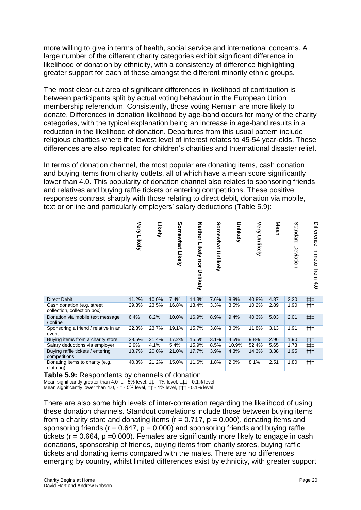more willing to give in terms of health, social service and international concerns. A large number of the different charity categories exhibit significant difference in likelihood of donation by ethnicity, with a consistency of difference highlighting greater support for each of these amongst the different minority ethnic groups.

The most clear-cut area of significant differences in likelihood of contribution is between participants split by actual voting behaviour in the European Union membership referendum. Consistently, those voting Remain are more likely to donate. Differences in donation likelihood by age-band occurs for many of the charity categories, with the typical explanation being an increase in age-band results in a reduction in the likelihood of donation. Departures from this usual pattern include religious charities where the lowest level of interest relates to 45-54 year-olds. These differences are also replicated for children's charities and International disaster relief.

In terms of donation channel, the most popular are donating items, cash donation and buying items from charity outlets, all of which have a mean score significantly lower than 4.0. This popularity of donation channel also relates to sponsoring friends and relatives and buying raffle tickets or entering competitions. These positive responses contrast sharply with those relating to direct debit, donation via mobile, text or online and particularly employers' salary deductions (Table 5.9):

|                                                           | Very Likely | Likely | Somewhat Likely | Neither Likely nor Unlikely | Somewhat Unlikely | Unlikely | Very<br>Unlikely | Mean | Standard<br>Deviation | Difference<br>in mean from<br>4.0 |
|-----------------------------------------------------------|-------------|--------|-----------------|-----------------------------|-------------------|----------|------------------|------|-----------------------|-----------------------------------|
| <b>Direct Debit</b>                                       | 11.2%       | 10.0%  | 7.4%            | 14.3%                       | 7.6%              | 8.8%     | 40.8%            | 4.87 | 2.20                  | ##                                |
| Cash donation (e.g. street<br>collection, collection box) | 29.3%       | 23.5%  | 16.8%           | 13.4%                       | 3.3%              | 3.5%     | 10.2%            | 2.89 | 1.90                  | †††                               |
| Donation via mobile text message<br>/ online              | 6.4%        | 8.2%   | 10.0%           | 16.9%                       | 8.9%              | 9.4%     | 40.3%            | 5.03 | 2.01                  | ##                                |
| Sponsoring a friend / relative in an<br>event             | 22.3%       | 23.7%  | 19.1%           | 15.7%                       | 3.8%              | 3.6%     | 11.8%            | 3.13 | 1.91                  | $^{\dagger\dagger\dagger}$        |
| Buying items from a charity store                         | 28.5%       | 21.4%  | 17.2%           | 15.5%                       | 3.1%              | 4.5%     | 9.8%             | 2.96 | 1.90                  | $^{\dagger\dagger\dagger}$        |
| Salary deductions via employer                            | 2.9%        | 4.1%   | 5.4%            | 15.9%                       | 8.5%              | 10.9%    | 52.4%            | 5.65 | 1.73                  | ##                                |
| Buying raffle tickets / entering<br>competitions          | 18.7%       | 20.0%  | 21.0%           | 17.7%                       | 3.9%              | 4.3%     | 14.3%            | 3.38 | 1.95                  | $^{\dagger\dagger\dagger}$        |
| Donating items to charity (e.g.<br>clothing)              | 40.3%       | 21.2%  | 15.0%           | 11.6%                       | 1.8%              | 2.0%     | 8.1%             | 2.51 | 1.80                  | †††                               |

**Table 5.9:** Respondents by channels of donation

Mean significantly greater than 4.0 -  $\ddagger$  - 5% level,  $\ddagger$  - 1% level,  $\ddagger$   $\ddagger$  - 0.1% level

Mean significantly lower than 4.0, - † - 5% level, †† - 1% level, ††† - 0.1% level

There are also some high levels of inter-correlation regarding the likelihood of using these donation channels. Standout correlations include those between buying items from a charity store and donating items ( $r = 0.717$ ,  $p = 0.000$ ), donating items and sponsoring friends ( $r = 0.647$ ,  $p = 0.000$ ) and sponsoring friends and buying raffle tickets ( $r = 0.664$ ,  $p = 0.000$ ). Females are significantly more likely to engage in cash donations, sponsorship of friends, buying items from charity stores, buying raffle tickets and donating items compared with the males. There are no differences emerging by country, whilst limited differences exist by ethnicity, with greater support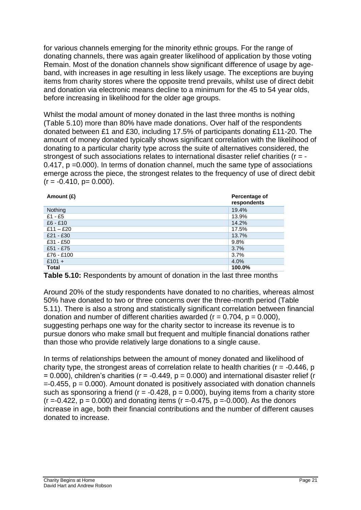for various channels emerging for the minority ethnic groups. For the range of donating channels, there was again greater likelihood of application by those voting Remain. Most of the donation channels show significant difference of usage by ageband, with increases in age resulting in less likely usage. The exceptions are buying items from charity stores where the opposite trend prevails, whilst use of direct debit and donation via electronic means decline to a minimum for the 45 to 54 year olds, before increasing in likelihood for the older age groups.

Whilst the modal amount of money donated in the last three months is nothing (Table 5.10) more than 80% have made donations. Over half of the respondents donated between £1 and £30, including 17.5% of participants donating £11-20. The amount of money donated typically shows significant correlation with the likelihood of donating to a particular charity type across the suite of alternatives considered, the strongest of such associations relates to international disaster relief charities (r = -0.417, p =0.000). In terms of donation channel, much the same type of associations emerge across the piece, the strongest relates to the frequency of use of direct debit  $(r = -0.410, p = 0.000)$ .

| Amount (£)     | Percentage of<br>respondents |
|----------------|------------------------------|
| <b>Nothing</b> | 19.4%                        |
| $£1 - £5$      | 13.9%                        |
| $£6 - £10$     | 14.2%                        |
| £11 – £20      | 17.5%                        |
| $£21 - £30$    | 13.7%                        |
| £31 - £50      | 9.8%                         |
| £51 - £75      | 3.7%                         |
| £76 - £100     | 3.7%                         |
| $£101 +$       | 4.0%                         |
| Total          | 100.0%                       |

**Table 5.10:** Respondents by amount of donation in the last three months

Around 20% of the study respondents have donated to no charities, whereas almost 50% have donated to two or three concerns over the three-month period (Table 5.11). There is also a strong and statistically significant correlation between financial donation and number of different charities awarded ( $r = 0.704$ ,  $p = 0.000$ ), suggesting perhaps one way for the charity sector to increase its revenue is to pursue donors who make small but frequent and multiple financial donations rather than those who provide relatively large donations to a single cause.

In terms of relationships between the amount of money donated and likelihood of charity type, the strongest areas of correlation relate to health charities ( $r = -0.446$ , p  $= 0.000$ ), children's charities (r = -0.449, p = 0.000) and international disaster relief (r  $= 0.455$ ,  $p = 0.000$ ). Amount donated is positively associated with donation channels such as sponsoring a friend ( $r = -0.428$ ,  $p = 0.000$ ), buying items from a charity store  $(r = -0.422, p = 0.000)$  and donating items  $(r = -0.475, p = -0.000)$ . As the donors increase in age, both their financial contributions and the number of different causes donated to increase.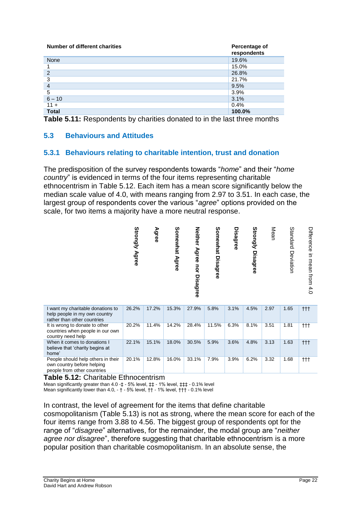| Number of different charities | Percentage of<br>respondents |
|-------------------------------|------------------------------|
| <b>None</b>                   | 19.6%                        |
|                               | 15.0%                        |
| $\overline{2}$                | 26.8%                        |
| 3                             | 21.7%                        |
| $\overline{4}$                | 9.5%                         |
| 5                             | 3.9%                         |
| $6 - 10$                      | 3.1%                         |
| $11 +$                        | 0.4%                         |
| <b>Total</b>                  | 100.0%                       |

**Table 5.11:** Respondents by charities donated to in the last three months

## **5.3 Behaviours and Attitudes**

## **5.3.1 Behaviours relating to charitable intention, trust and donation**

The predisposition of the survey respondents towards "*home*" and their "*home country*" is evidenced in terms of the four items representing charitable ethnocentrism in Table 5.12. Each item has a mean score significantly below the median scale value of 4.0, with means ranging from 2.97 to 3.51. In each case, the largest group of respondents cover the various "*agree*" options provided on the scale, for two items a majority have a more neutral response.

![](_page_22_Figure_5.jpeg)

| I want my charitable donations to<br>help people in my own country<br>rather than other countries | 26.2% | 17.2% | 15.3% | 27.9% | 5.8%  | 3.1% | 4.5% | 2.97 | 1.65 | ttt                        |
|---------------------------------------------------------------------------------------------------|-------|-------|-------|-------|-------|------|------|------|------|----------------------------|
| It is wrong to donate to other<br>countries when people in our own<br>country need help           | 20.2% | 11.4% | 14.2% | 28.4% | 11.5% | 6.3% | 8.1% | 3.51 | 1.81 | $^{\dagger\dagger\dagger}$ |
| When it comes to donations I<br>believe that 'charity begins at<br>home'                          | 22.1% | 15.1% | 18.0% | 30.5% | 5.9%  | 3.6% | 4.8% | 3.13 | 1.63 | $\dagger$                  |
| People should help others in their<br>own country before helping<br>people from other countries   | 20.1% | 12.8% | 16.0% | 33.1% | 7.9%  | 3.9% | 6.2% | 3.32 | 1.68 | ttt                        |

**Table 5.12:** Charitable Ethnocentrism

Mean significantly greater than 4.0 -‡ - 5% level, ‡‡ - 1% level, ‡‡‡ - 0.1% level

Mean significantly lower than 4.0, - † - 5% level, †† - 1% level, ††† - 0.1% level

In contrast, the level of agreement for the items that define charitable cosmopolitanism (Table 5.13) is not as strong, where the mean score for each of the four items range from 3.88 to 4.56. The biggest group of respondents opt for the range of "*disagree*" alternatives, for the remainder, the modal group are "*neither agree nor disagree*", therefore suggesting that charitable ethnocentrism is a more popular position than charitable cosmopolitanism. In an absolute sense, the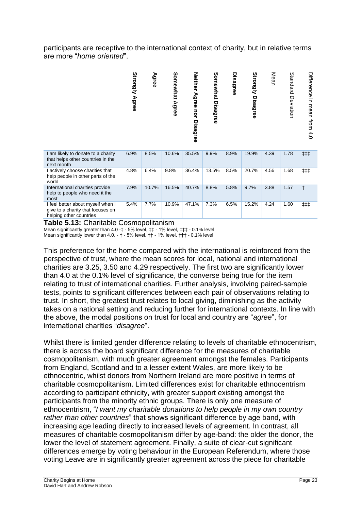participants are receptive to the international context of charity, but in relative terms are more "*home oriented*".

|                                                                                                   | Strongly Agree | Agree | Somewhat Agree | <b>Neither</b><br>Agree<br>uor<br><b>Disagree</b> | Somewhat<br><b>Disagree</b> | <b>Disagree</b> | Strongly<br><b>Disagree</b> | Mean | Standard<br>Deviation | Difference<br>$\equiv$<br>mean from 4.0 |
|---------------------------------------------------------------------------------------------------|----------------|-------|----------------|---------------------------------------------------|-----------------------------|-----------------|-----------------------------|------|-----------------------|-----------------------------------------|
| I am likely to donate to a charity<br>that helps other countries in the<br>next month             | 6.9%           | 8.5%  | 10.6%          | 35.5%                                             | 9.9%                        | 8.9%            | 19.9%                       | 4.39 | 1.78                  | ###                                     |
| I actively choose charities that<br>help people in other parts of the<br>world                    | 4.8%           | 6.4%  | 9.8%           | 36.4%                                             | 13.5%                       | 8.5%            | 20.7%                       | 4.56 | 1.68                  | ##                                      |
| International charities provide<br>help to people who need it the<br>most                         | 7.9%           | 10.7% | 16.5%          | 40.7%                                             | 8.8%                        | 5.8%            | 9.7%                        | 3.88 | 1.57                  | $\ddagger$                              |
| I feel better about myself when I<br>give to a charity that focuses on<br>helping other countries | 5.4%           | 7.7%  | 10.9%          | 47.1%                                             | 7.3%                        | 6.5%            | 15.2%                       | 4.24 | 1.60                  | ##                                      |

**Table 5.13:** Charitable Cosmopolitanism

Mean significantly greater than 4.0 -‡ - 5% level, ‡‡ - 1% level, ‡‡‡ - 0.1% level Mean significantly lower than 4.0, - † - 5% level, †† - 1% level, ††† - 0.1% level

This preference for the home compared with the international is reinforced from the perspective of trust, where the mean scores for local, national and international charities are 3.25, 3.50 and 4.29 respectively. The first two are significantly lower than 4.0 at the 0.1% level of significance, the converse being true for the item relating to trust of international charities. Further analysis, involving paired-sample tests, points to significant differences between each pair of observations relating to trust. In short, the greatest trust relates to local giving, diminishing as the activity takes on a national setting and reducing further for international contexts. In line with the above, the modal positions on trust for local and country are "*agree*", for international charities "*disagree*".

Whilst there is limited gender difference relating to levels of charitable ethnocentrism, there is across the board significant difference for the measures of charitable cosmopolitanism, with much greater agreement amongst the females. Participants from England, Scotland and to a lesser extent Wales, are more likely to be ethnocentric, whilst donors from Northern Ireland are more positive in terms of charitable cosmopolitanism. Limited differences exist for charitable ethnocentrism according to participant ethnicity, with greater support existing amongst the participants from the minority ethnic groups. There is only one measure of ethnocentrism, "*I want my charitable donations to help people in my own country rather than other countries*" that shows significant difference by age band, with increasing age leading directly to increased levels of agreement. In contrast, all measures of charitable cosmopolitanism differ by age-band: the older the donor, the lower the level of statement agreement. Finally, a suite of clear-cut significant differences emerge by voting behaviour in the European Referendum, where those voting Leave are in significantly greater agreement across the piece for charitable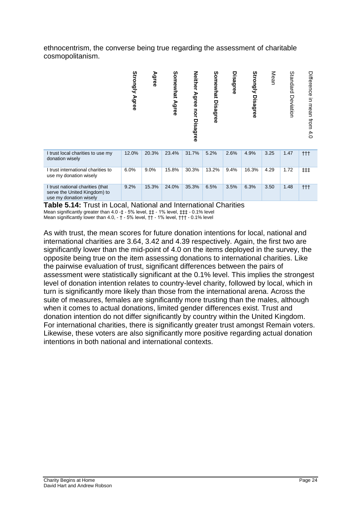ethnocentrism, the converse being true regarding the assessment of charitable cosmopolitanism.

![](_page_24_Figure_1.jpeg)

**Table 5.14:** Trust in Local, National and International Charities Mean significantly greater than 4.0 -‡ - 5% level, ‡‡ - 1% level, ‡‡‡ - 0.1% level Mean significantly lower than 4.0, - † - 5% level, †† - 1% level, ††† - 0.1% level

As with trust, the mean scores for future donation intentions for local, national and international charities are 3.64, 3.42 and 4.39 respectively. Again, the first two are significantly lower than the mid-point of 4.0 on the items deployed in the survey, the opposite being true on the item assessing donations to international charities. Like the pairwise evaluation of trust, significant differences between the pairs of assessment were statistically significant at the 0.1% level. This implies the strongest level of donation intention relates to country-level charity, followed by local, which in turn is significantly more likely than those from the international arena. Across the suite of measures, females are significantly more trusting than the males, although when it comes to actual donations, limited gender differences exist. Trust and donation intention do not differ significantly by country within the United Kingdom. For international charities, there is significantly greater trust amongst Remain voters. Likewise, these voters are also significantly more positive regarding actual donation intentions in both national and international contexts.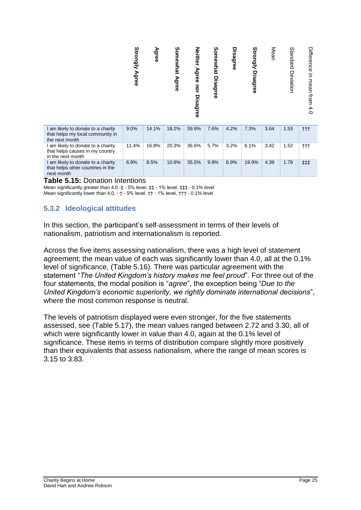|                                                                                            | Strongly<br><b>Agree</b> | Agree | Somewhat<br>Agree | <b>Neither</b><br>Agree nor<br><b>Disagree</b> | Somewhat<br><b>Disagree</b> | Disagree | Strongly<br><b>Disagree</b> | Mean | Standard<br>Deviation | Difference<br>in mean<br>from<br>4.0 |
|--------------------------------------------------------------------------------------------|--------------------------|-------|-------------------|------------------------------------------------|-----------------------------|----------|-----------------------------|------|-----------------------|--------------------------------------|
| I am likely to donate to a charity<br>that helps my local community in<br>the next month   | 9.0%                     | 14.1% | 18.2%             | 39.6%                                          | 7.6%                        | 4.2%     | 7.3%                        | 3.64 | 1.53                  | $++$                                 |
| I am likely to donate to a charity<br>that helps causes in my country<br>in the next month | 11.4%                    | 16.8% | 20.3%             | 36.6%                                          | 5.7%                        | 3.2%     | 6.1%                        | 3.42 | 1.52                  | $^{\dagger\dagger\dagger}$           |
| I am likely to donate to a charity<br>that helps other countries in the<br>next month      | 6.9%                     | 8.5%  | 10.6%             | 35.5%                                          | 9.9%                        | 8.9%     | 19.9%                       | 4.39 | 1.78                  | ##                                   |

#### **Table 5.15:** Donation Intentions

Mean significantly greater than 4.0 -  $\ddagger$  - 5% level,  $\ddagger$  + 1% level,  $\ddagger$   $\ddagger$  + 0.1% level Mean significantly lower than 4.0, - † - 5% level, †† - 1% level, ††† - 0.1% level

## **5.3.2 Ideological attitudes**

In this section, the participant's self-assessment in terms of their levels of nationalism, patriotism and internationalism is reported.

Across the five items assessing nationalism, there was a high level of statement agreement; the mean value of each was significantly lower than 4.0, all at the 0.1% level of significance, (Table 5.16). There was particular agreement with the statement "*The United Kingdom's history makes me feel proud*". For three out of the four statements, the modal position is "*agree*", the exception being "*Due to the United Kingdom's economic superiority, we rightly dominate international decisions*", where the most common response is neutral.

The levels of patriotism displayed were even stronger, for the five statements assessed, see (Table 5.17), the mean values ranged between 2.72 and 3.30, all of which were significantly lower in value than 4.0, again at the 0.1% level of significance. These items in terms of distribution compare slightly more positively than their equivalents that assess nationalism, where the range of mean scores is 3.15 to 3.83.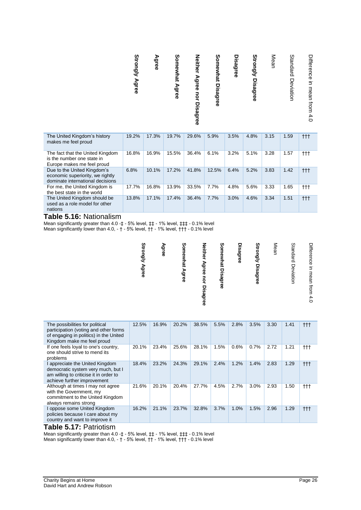|  | <b>Strongly Agree</b> | Agree | Somewhat Agree | Neither Agree nor Disagree | Somewhat Disagree | Disagree | <b>Strongly Disagree</b> | Mean | Standard Deviation | Difference in mean from 4.0 |
|--|-----------------------|-------|----------------|----------------------------|-------------------|----------|--------------------------|------|--------------------|-----------------------------|
|--|-----------------------|-------|----------------|----------------------------|-------------------|----------|--------------------------|------|--------------------|-----------------------------|

| The United Kingdom's history<br>makes me feel proud                                                 | 19.2% | 17.3% | 19.7% | 29.6% | 5.9%  | 3.5% | 4.8% | 3.15 | 1.59 | ttt       |
|-----------------------------------------------------------------------------------------------------|-------|-------|-------|-------|-------|------|------|------|------|-----------|
| The fact that the United Kingdom<br>is the number one state in<br>Europe makes me feel proud        | 16.8% | 16.9% | 15.5% | 36.4% | 6.1%  | 3.2% | 5.1% | 3.28 | 1.57 | ttt       |
| Due to the United Kingdom's<br>economic superiority, we rightly<br>dominate international decisions | 6.8%  | 10.1% | 17.2% | 41.8% | 12.5% | 6.4% | 5.2% | 3.83 | 1.42 | †††       |
| For me, the United Kingdom is<br>the best state in the world                                        | 17.7% | 16.8% | 13.9% | 33.5% | 7.7%  | 4.8% | 5.6% | 3.33 | 1.65 | †††       |
| The United Kingdom should be<br>used as a role model for other<br>nations                           | 13.8% | 17.1% | 17.4% | 36.4% | 7.7%  | 3.0% | 4.6% | 3.34 | 1.51 | $\dagger$ |

#### **Table 5.16:** Nationalism

Mean significantly greater than 4.0 -  $\ddagger$  - 5% level,  $\ddagger$  + 1% level,  $\ddagger$   $\ddagger$  + 0.1% level Mean significantly lower than 4.0, - † - 5% level, †† - 1% level, ††† - 0.1% level

| Strongly Agree | Agree | Somewhat Agree | Neither Agree nor Disagree | Somewhat Disagree | Disagree | <b>Strongly Disagree</b> | Mean | Standard Deviation | Difference in mean from<br>4.0 |
|----------------|-------|----------------|----------------------------|-------------------|----------|--------------------------|------|--------------------|--------------------------------|
|----------------|-------|----------------|----------------------------|-------------------|----------|--------------------------|------|--------------------|--------------------------------|

| The possibilities for political<br>participation (voting and other forms<br>of engaging in politics) in the United<br>Kingdom make me feel proud | 12.5% | 16.9% | 20.2% | 38.5% | 5.5% | 2.8% | 3.5% | 3.30 | 1.41 | $^{\dagger\dagger\dagger}$ |
|--------------------------------------------------------------------------------------------------------------------------------------------------|-------|-------|-------|-------|------|------|------|------|------|----------------------------|
| If one feels loyal to one's country,<br>one should strive to mend its<br>problems                                                                | 20.1% | 23.4% | 25.6% | 28.1% | 1.5% | 0.6% | 0.7% | 2.72 | 1.21 | $+ + +$                    |
| I appreciate the United Kingdom<br>democratic system very much, but I<br>am willing to criticise it in order to<br>achieve further improvement   | 18.4% | 23.2% | 24.3% | 29.1% | 2.4% | 1.2% | 1.4% | 2.83 | 1.29 | $^{\dagger\dagger\dagger}$ |
| Although at times I may not agree<br>with the Government, my<br>commitment to the United Kingdom<br>always remains strong                        | 21.6% | 20.1% | 20.4% | 27.7% | 4.5% | 2.7% | 3.0% | 2.93 | 1.50 | ††                         |
| I oppose some United Kingdom<br>policies because I care about my<br>country and want to improve it                                               | 16.2% | 21.1% | 23.7% | 32.8% | 3.7% | 1.0% | 1.5% | 2.96 | 1.29 | $++$                       |

#### **Table 5.17:** Patriotism

Mean significantly greater than 4.0 - ‡ - 5% level,  $\sharp$  + 1% level,  $\sharp$   $\sharp$  + 0.1% level Mean significantly lower than 4.0, - † - 5% level, †† - 1% level, ††† - 0.1% level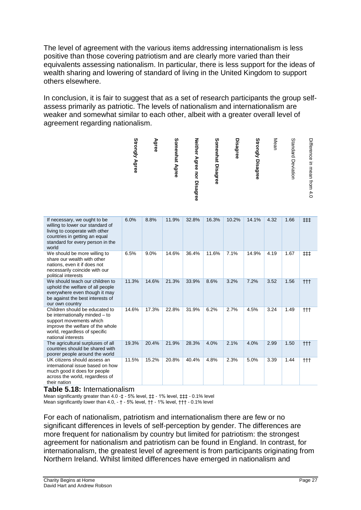The level of agreement with the various items addressing internationalism is less positive than those covering patriotism and are clearly more varied than their equivalents assessing nationalism. In particular, there is less support for the ideas of wealth sharing and lowering of standard of living in the United Kingdom to support others elsewhere.

In conclusion, it is fair to suggest that as a set of research participants the group selfassess primarily as patriotic. The levels of nationalism and internationalism are weaker and somewhat similar to each other, albeit with a greater overall level of agreement regarding nationalism.

![](_page_27_Figure_2.jpeg)

| If necessary, we ought to be<br>willing to lower our standard of<br>living to cooperate with other<br>countries in getting an equal<br>standard for every person in the<br>world       | 6.0%  | 8.8%  | 11.9% | 32.8% | 16.3% | 10.2% | 14.1% | 4.32 | 1.66 | ##   |
|----------------------------------------------------------------------------------------------------------------------------------------------------------------------------------------|-------|-------|-------|-------|-------|-------|-------|------|------|------|
| We should be more willing to<br>share our wealth with other<br>nations, even it if does not<br>necessarily coincide with our<br>political interests                                    | 6.5%  | 9.0%  | 14.6% | 36.4% | 11.6% | 7.1%  | 14.9% | 4.19 | 1.67 | ###  |
| We should teach our children to<br>uphold the welfare of all people<br>everywhere even though it may<br>be against the best interests of<br>our own country                            | 11.3% | 14.6% | 21.3% | 33.9% | 8.6%  | 3.2%  | 7.2%  | 3.52 | 1.56 | $++$ |
| Children should be educated to<br>be internationally minded - to<br>support movements which<br>improve the welfare of the whole<br>world, regardless of specific<br>national interests | 14.6% | 17.3% | 22.8% | 31.9% | 6.2%  | 2.7%  | 4.5%  | 3.24 | 1.49 | †††  |
| The agricultural surpluses of all<br>countries should be shared with<br>poorer people around the world                                                                                 | 19.3% | 20.4% | 21.9% | 28.3% | 4.0%  | 2.1%  | 4.0%  | 2.99 | 1.50 | $++$ |
| UK citizens should assess an<br>international issue based on how<br>much good it does for people<br>across the world, regardless of<br>their nation                                    | 11.5% | 15.2% | 20.8% | 40.4% | 4.8%  | 2.3%  | 5.0%  | 3.39 | 1.44 | †††  |

#### **Table 5.18:** Internationalism

Mean significantly greater than 4.0 -  $\pm$  - 5% level,  $\pm$  - 1% level,  $\pm$   $\pm$  - 0.1% level Mean significantly lower than 4.0, - † - 5% level, †† - 1% level, ††† - 0.1% level

For each of nationalism, patriotism and internationalism there are few or no significant differences in levels of self-perception by gender. The differences are more frequent for nationalism by country but limited for patriotism: the strongest agreement for nationalism and patriotism can be found in England. In contrast, for internationalism, the greatest level of agreement is from participants originating from Northern Ireland. Whilst limited differences have emerged in nationalism and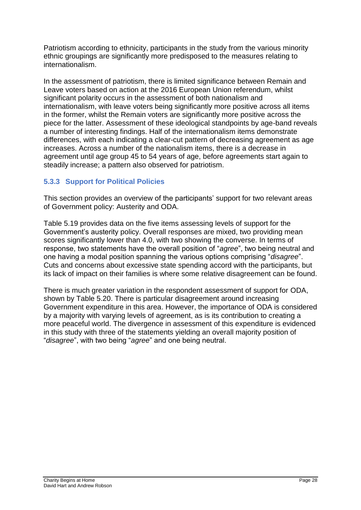Patriotism according to ethnicity, participants in the study from the various minority ethnic groupings are significantly more predisposed to the measures relating to internationalism.

In the assessment of patriotism, there is limited significance between Remain and Leave voters based on action at the 2016 European Union referendum, whilst significant polarity occurs in the assessment of both nationalism and internationalism, with leave voters being significantly more positive across all items in the former, whilst the Remain voters are significantly more positive across the piece for the latter. Assessment of these ideological standpoints by age-band reveals a number of interesting findings. Half of the internationalism items demonstrate differences, with each indicating a clear-cut pattern of decreasing agreement as age increases. Across a number of the nationalism items, there is a decrease in agreement until age group 45 to 54 years of age, before agreements start again to steadily increase; a pattern also observed for patriotism.

## **5.3.3 Support for Political Policies**

This section provides an overview of the participants' support for two relevant areas of Government policy: Austerity and ODA.

Table 5.19 provides data on the five items assessing levels of support for the Government's austerity policy. Overall responses are mixed, two providing mean scores significantly lower than 4.0, with two showing the converse. In terms of response, two statements have the overall position of "*agree*", two being neutral and one having a modal position spanning the various options comprising "*disagree*". Cuts and concerns about excessive state spending accord with the participants, but its lack of impact on their families is where some relative disagreement can be found.

There is much greater variation in the respondent assessment of support for ODA, shown by Table 5.20. There is particular disagreement around increasing Government expenditure in this area. However, the importance of ODA is considered by a majority with varying levels of agreement, as is its contribution to creating a more peaceful world. The divergence in assessment of this expenditure is evidenced in this study with three of the statements yielding an overall majority position of "*disagree*", with two being "*agree*" and one being neutral.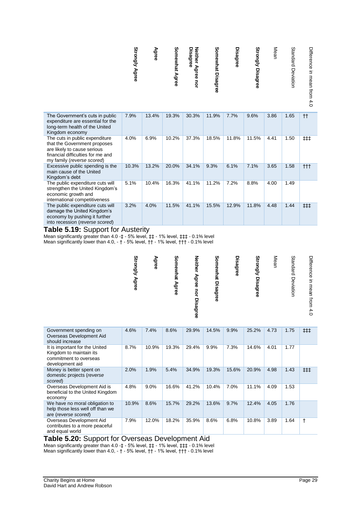|                                                                                                                                                                  | <b>Strongly Agree</b> | Agree | Somewhat Agree | Neither Agree nor<br>Disagree | Somewhat Disagree | Disagree | Strongly Disagree | Mean | Standard Deviation | Difference in mean from 4.0 |
|------------------------------------------------------------------------------------------------------------------------------------------------------------------|-----------------------|-------|----------------|-------------------------------|-------------------|----------|-------------------|------|--------------------|-----------------------------|
| The Government's cuts in public<br>expenditure are essential for the<br>long-term health of the United<br>Kingdom economy                                        | 7.9%                  | 13.4% | 19.3%          | 30.3%                         | 11.9%             | 7.7%     | 9.6%              | 3.86 | 1.65               | $^{\dagger\dagger}$         |
| The cuts in public expenditure<br>that the Government proposes<br>are likely to cause serious<br>financial difficulties for me and<br>my family (reverse scored) | 4.0%                  | 6.9%  | 10.2%          | 37.3%                         | 18.5%             | 11.8%    | 11.5%             | 4.41 | 1.50               | ##                          |
| Excessive public spending is the<br>main cause of the United<br>Kingdom's debt                                                                                   | 10.3%                 | 13.2% | 20.0%          | 34.1%                         | 9.3%              | 6.1%     | 7.1%              | 3.65 | 1.58               | $^{\dagger\dagger\dagger}$  |
| The public expenditure cuts will<br>strengthen the United Kingdom's<br>economic growth and<br>international competitiveness                                      | 5.1%                  | 10.4% | 16.3%          | 41.1%                         | 11.2%             | 7.2%     | 8.8%              | 4.00 | 1.49               |                             |
| The public expenditure cuts will<br>damage the United Kingdom's<br>economy by pushing it further<br>into recession (reverse scored)                              | 3.2%                  | 4.0%  | 11.5%          | 41.1%                         | 15.5%             | 12.9%    | 11.8%             | 4.48 | 1.44               | ###                         |

#### **Table 5.19:** Support for Austerity

Mean significantly greater than 4.0 - ‡ - 5% level,  $\sharp$  + 1% level,  $\sharp$   $\sharp$  + 0.1% level Mean significantly lower than 4.0, - † - 5% level, †† - 1% level, ††† - 0.1% level

|                                                                                                        | <b>Strongly Agree</b> | Agree | Somewhat Agree | Neither Agree nor Disagree | Somewhat Disagree | <b>Disagree</b> | <b>Strongly Disagree</b> | Mean | Standard Deviation | Difference in Hear tron 4.0 |
|--------------------------------------------------------------------------------------------------------|-----------------------|-------|----------------|----------------------------|-------------------|-----------------|--------------------------|------|--------------------|-----------------------------|
| Government spending on<br>Overseas Development Aid<br>should increase                                  | 4.6%                  | 7.4%  | 8.6%           | 29.9%                      | 14.5%             | 9.9%            | 25.2%                    | 4.73 | 1.75               | ##                          |
| It is important for the United<br>Kingdom to maintain its<br>commitment to overseas<br>development aid | 8.7%                  | 10.9% | 19.3%          | 29.4%                      | 9.9%              | 7.3%            | 14.6%                    | 4.01 | 1.77               |                             |
| Money is better spent on<br>domestic projects (reverse<br>scored)                                      | 2.0%                  | 1.9%  | 5.4%           | 34.9%                      | 19.3%             | 15.6%           | 20.9%                    | 4.98 | 1.43               | ##                          |
| Overseas Development Aid is<br>beneficial to the United Kingdom<br>economy                             | 4.8%                  | 9.0%  | 16.6%          | 41.2%                      | 10.4%             | 7.0%            | 11.1%                    | 4.09 | 1.53               |                             |
| We have no moral obligation to<br>help those less well off than we<br>are (reverse scored)             | 10.9%                 | 8.6%  | 15.7%          | 29.2%                      | 13.6%             | 9.7%            | 12.4%                    | 4.05 | 1.76               |                             |
| Overseas Development Aid<br>contributes to a more peaceful<br>and equal world<br>. .                   | 7.9%                  | 12.0% | 18.2%          | 35.9%                      | 8.6%<br>.         | 6.8%            | 10.8%                    | 3.89 | 1.64               | $\ddagger$                  |

#### **Table 5.20:** Support for Overseas Development Aid

Mean significantly greater than 4.0 -  $\ddagger$  - 5% level,  $\ddagger$  + 1% level,  $\ddagger$   $\ddagger$  + 0.1% level Mean significantly lower than 4.0, - † - 5% level, †† - 1% level, ††† - 0.1% level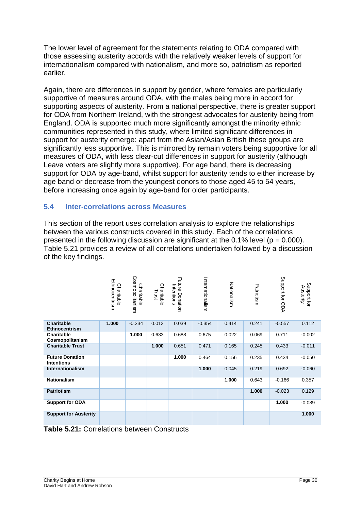The lower level of agreement for the statements relating to ODA compared with those assessing austerity accords with the relatively weaker levels of support for internationalism compared with nationalism, and more so, patriotism as reported earlier.

Again, there are differences in support by gender, where females are particularly supportive of measures around ODA, with the males being more in accord for supporting aspects of austerity. From a national perspective, there is greater support for ODA from Northern Ireland, with the strongest advocates for austerity being from England. ODA is supported much more significantly amongst the minority ethnic communities represented in this study, where limited significant differences in support for austerity emerge: apart from the Asian/Asian British these groups are significantly less supportive. This is mirrored by remain voters being supportive for all measures of ODA, with less clear-cut differences in support for austerity (although Leave voters are slightly more supportive). For age band, there is decreasing support for ODA by age-band, whilst support for austerity tends to either increase by age band or decrease from the youngest donors to those aged 45 to 54 years, before increasing once again by age-band for older participants.

## **5.4 Inter-correlations across Measures**

This section of the report uses correlation analysis to explore the relationships between the various constructs covered in this study. Each of the correlations presented in the following discussion are significant at the  $0.1\%$  level ( $p = 0.000$ ). Table 5.21 provides a review of all correlations undertaken followed by a discussion of the key findings.

|                                             | Ethnocentrism<br>Charitable | Cosmopolitanism<br>Charitable | Charitable<br>Trust | <b>Future</b><br>Intentions<br>Donation | Internationalism | Nationalism | Patriotism | Support for ODA | Support for<br>Austerity |
|---------------------------------------------|-----------------------------|-------------------------------|---------------------|-----------------------------------------|------------------|-------------|------------|-----------------|--------------------------|
| <b>Charitable</b><br><b>Ethnocentrism</b>   | 1.000                       | $-0.334$                      | 0.013               | 0.039                                   | $-0.354$         | 0.414       | 0.241      | $-0.557$        | 0.112                    |
| <b>Charitable</b><br>Cosmopolitanism        |                             | 1.000                         | 0.633               | 0.688                                   | 0.675            | 0.022       | 0.069      | 0.711           | $-0.002$                 |
| <b>Charitable Trust</b>                     |                             |                               | 1.000               | 0.651                                   | 0.471            | 0.165       | 0.245      | 0.433           | $-0.011$                 |
| <b>Future Donation</b><br><b>Intentions</b> |                             |                               |                     | 1.000                                   | 0.464            | 0.156       | 0.235      | 0.434           | $-0.050$                 |
| <b>Internationalism</b>                     |                             |                               |                     |                                         | 1.000            | 0.045       | 0.219      | 0.692           | $-0.060$                 |
| <b>Nationalism</b>                          |                             |                               |                     |                                         |                  | 1.000       | 0.643      | $-0.166$        | 0.357                    |
| <b>Patriotism</b>                           |                             |                               |                     |                                         |                  |             | 1.000      | $-0.023$        | 0.129                    |
| <b>Support for ODA</b>                      |                             |                               |                     |                                         |                  |             |            | 1.000           | $-0.089$                 |
| <b>Support for Austerity</b>                |                             |                               |                     |                                         |                  |             |            |                 | 1.000                    |

**Table 5.21:** Correlations between Constructs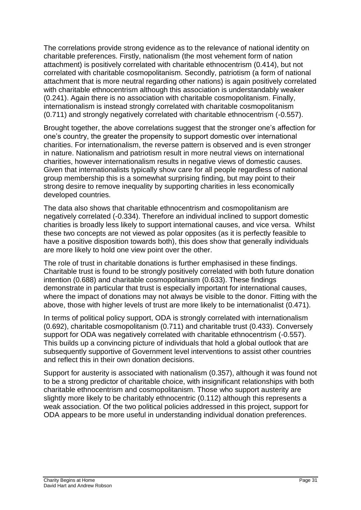The correlations provide strong evidence as to the relevance of national identity on charitable preferences. Firstly, nationalism (the most vehement form of nation attachment) is positively correlated with charitable ethnocentrism (0.414), but not correlated with charitable cosmopolitanism. Secondly, patriotism (a form of national attachment that is more neutral regarding other nations) is again positively correlated with charitable ethnocentrism although this association is understandably weaker (0.241). Again there is no association with charitable cosmopolitanism. Finally, internationalism is instead strongly correlated with charitable cosmopolitanism (0.711) and strongly negatively correlated with charitable ethnocentrism (-0.557).

Brought together, the above correlations suggest that the stronger one's affection for one's country, the greater the propensity to support domestic over international charities. For internationalism, the reverse pattern is observed and is even stronger in nature. Nationalism and patriotism result in more neutral views on international charities, however internationalism results in negative views of domestic causes. Given that internationalists typically show care for all people regardless of national group membership this is a somewhat surprising finding, but may point to their strong desire to remove inequality by supporting charities in less economically developed countries.

The data also shows that charitable ethnocentrism and cosmopolitanism are negatively correlated (-0.334). Therefore an individual inclined to support domestic charities is broadly less likely to support international causes, and vice versa. Whilst these two concepts are not viewed as polar opposites (as it is perfectly feasible to have a positive disposition towards both), this does show that generally individuals are more likely to hold one view point over the other.

The role of trust in charitable donations is further emphasised in these findings. Charitable trust is found to be strongly positively correlated with both future donation intention (0.688) and charitable cosmopolitanism (0.633). These findings demonstrate in particular that trust is especially important for international causes, where the impact of donations may not always be visible to the donor. Fitting with the above, those with higher levels of trust are more likely to be internationalist (0.471).

In terms of political policy support, ODA is strongly correlated with internationalism (0.692), charitable cosmopolitanism (0.711) and charitable trust (0.433). Conversely support for ODA was negatively correlated with charitable ethnocentrism (-0.557). This builds up a convincing picture of individuals that hold a global outlook that are subsequently supportive of Government level interventions to assist other countries and reflect this in their own donation decisions.

Support for austerity is associated with nationalism (0.357), although it was found not to be a strong predictor of charitable choice, with insignificant relationships with both charitable ethnocentrism and cosmopolitanism. Those who support austerity are slightly more likely to be charitably ethnocentric (0.112) although this represents a weak association. Of the two political policies addressed in this project, support for ODA appears to be more useful in understanding individual donation preferences.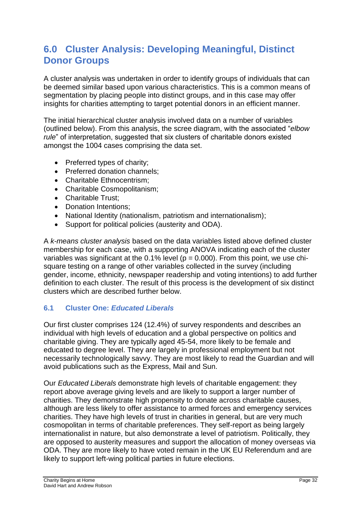## **6.0 Cluster Analysis: Developing Meaningful, Distinct Donor Groups**

A cluster analysis was undertaken in order to identify groups of individuals that can be deemed similar based upon various characteristics. This is a common means of segmentation by placing people into distinct groups, and in this case may offer insights for charities attempting to target potential donors in an efficient manner.

The initial hierarchical cluster analysis involved data on a number of variables (outlined below). From this analysis, the scree diagram, with the associated "*elbow rule*" of interpretation, suggested that six clusters of charitable donors existed amongst the 1004 cases comprising the data set.

- Preferred types of charity;
- Preferred donation channels:
- Charitable Ethnocentrism:
- Charitable Cosmopolitanism;
- Charitable Trust:
- Donation Intentions:
- National Identity (nationalism, patriotism and internationalism);
- Support for political policies (austerity and ODA).

A *k-means cluster analysis* based on the data variables listed above defined cluster membership for each case, with a supporting ANOVA indicating each of the cluster variables was significant at the  $0.1\%$  level ( $p = 0.000$ ). From this point, we use chisquare testing on a range of other variables collected in the survey (including gender, income, ethnicity, newspaper readership and voting intentions) to add further definition to each cluster. The result of this process is the development of six distinct clusters which are described further below.

#### **6.1 Cluster One:** *Educated Liberals*

Our first cluster comprises 124 (12.4%) of survey respondents and describes an individual with high levels of education and a global perspective on politics and charitable giving. They are typically aged 45-54, more likely to be female and educated to degree level. They are largely in professional employment but not necessarily technologically savvy. They are most likely to read the Guardian and will avoid publications such as the Express, Mail and Sun.

Our *Educated Liberals* demonstrate high levels of charitable engagement: they report above average giving levels and are likely to support a larger number of charities. They demonstrate high propensity to donate across charitable causes, although are less likely to offer assistance to armed forces and emergency services charities. They have high levels of trust in charities in general, but are very much cosmopolitan in terms of charitable preferences. They self-report as being largely internationalist in nature, but also demonstrate a level of patriotism. Politically, they are opposed to austerity measures and support the allocation of money overseas via ODA. They are more likely to have voted remain in the UK EU Referendum and are likely to support left-wing political parties in future elections.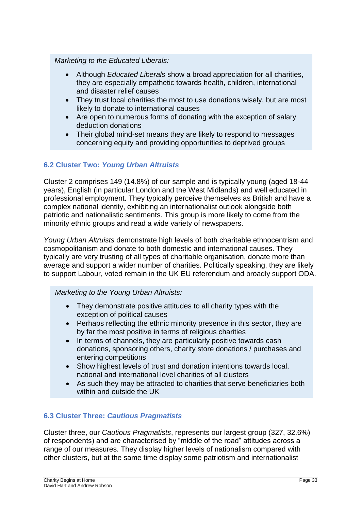#### *Marketing to the Educated Liberals:*

- Although *Educated Liberals* show a broad appreciation for all charities, they are especially empathetic towards health, children, international and disaster relief causes
- They trust local charities the most to use donations wisely, but are most likely to donate to international causes
- Are open to numerous forms of donating with the exception of salary deduction donations
- Their global mind-set means they are likely to respond to messages concerning equity and providing opportunities to deprived groups

## **6.2 Cluster Two:** *Young Urban Altruists*

Cluster 2 comprises 149 (14.8%) of our sample and is typically young (aged 18-44 years), English (in particular London and the West Midlands) and well educated in professional employment. They typically perceive themselves as British and have a complex national identity, exhibiting an internationalist outlook alongside both patriotic and nationalistic sentiments. This group is more likely to come from the minority ethnic groups and read a wide variety of newspapers.

*Young Urban Altruists* demonstrate high levels of both charitable ethnocentrism and cosmopolitanism and donate to both domestic and international causes. They typically are very trusting of all types of charitable organisation, donate more than average and support a wider number of charities. Politically speaking, they are likely to support Labour, voted remain in the UK EU referendum and broadly support ODA.

*Marketing to the Young Urban Altruists:*

- They demonstrate positive attitudes to all charity types with the exception of political causes
- Perhaps reflecting the ethnic minority presence in this sector, they are by far the most positive in terms of religious charities
- In terms of channels, they are particularly positive towards cash donations, sponsoring others, charity store donations / purchases and entering competitions
- Show highest levels of trust and donation intentions towards local, national and international level charities of all clusters
- As such they may be attracted to charities that serve beneficiaries both within and outside the UK

## **6.3 Cluster Three:** *Cautious Pragmatists*

Cluster three, our *Cautious Pragmatists*, represents our largest group (327, 32.6%) of respondents) and are characterised by "middle of the road" attitudes across a range of our measures. They display higher levels of nationalism compared with other clusters, but at the same time display some patriotism and internationalist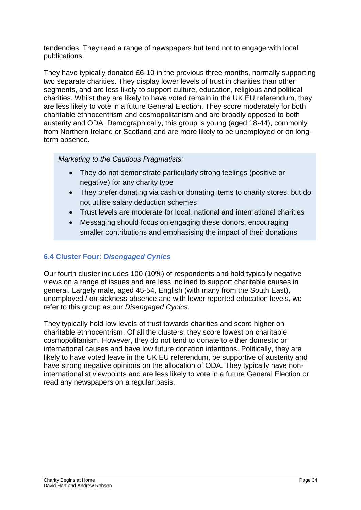tendencies. They read a range of newspapers but tend not to engage with local publications.

They have typically donated £6-10 in the previous three months, normally supporting two separate charities. They display lower levels of trust in charities than other segments, and are less likely to support culture, education, religious and political charities. Whilst they are likely to have voted remain in the UK EU referendum, they are less likely to vote in a future General Election. They score moderately for both charitable ethnocentrism and cosmopolitanism and are broadly opposed to both austerity and ODA. Demographically, this group is young (aged 18-44), commonly from Northern Ireland or Scotland and are more likely to be unemployed or on longterm absence.

*Marketing to the Cautious Pragmatists:*

- They do not demonstrate particularly strong feelings (positive or negative) for any charity type
- They prefer donating via cash or donating items to charity stores, but do not utilise salary deduction schemes
- Trust levels are moderate for local, national and international charities
- Messaging should focus on engaging these donors, encouraging smaller contributions and emphasising the impact of their donations

## **6.4 Cluster Four:** *Disengaged Cynics*

Our fourth cluster includes 100 (10%) of respondents and hold typically negative views on a range of issues and are less inclined to support charitable causes in general. Largely male, aged 45-54, English (with many from the South East), unemployed / on sickness absence and with lower reported education levels, we refer to this group as our *Disengaged Cynics*.

They typically hold low levels of trust towards charities and score higher on charitable ethnocentrism. Of all the clusters, they score lowest on charitable cosmopolitanism. However, they do not tend to donate to either domestic or international causes and have low future donation intentions. Politically, they are likely to have voted leave in the UK EU referendum, be supportive of austerity and have strong negative opinions on the allocation of ODA. They typically have noninternationalist viewpoints and are less likely to vote in a future General Election or read any newspapers on a regular basis.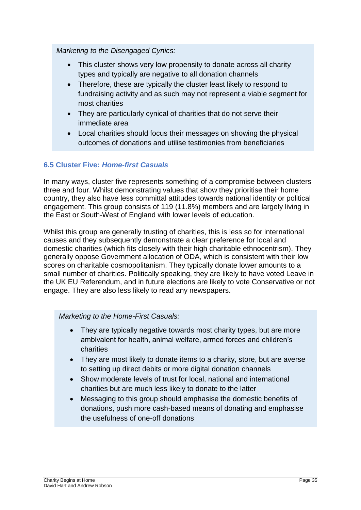*Marketing to the Disengaged Cynics:*

- This cluster shows very low propensity to donate across all charity types and typically are negative to all donation channels
- Therefore, these are typically the cluster least likely to respond to fundraising activity and as such may not represent a viable segment for most charities
- They are particularly cynical of charities that do not serve their immediate area
- Local charities should focus their messages on showing the physical outcomes of donations and utilise testimonies from beneficiaries

## **6.5 Cluster Five:** *Home-first Casuals*

In many ways, cluster five represents something of a compromise between clusters three and four. Whilst demonstrating values that show they prioritise their home country, they also have less committal attitudes towards national identity or political engagement. This group consists of 119 (11.8%) members and are largely living in the East or South-West of England with lower levels of education.

Whilst this group are generally trusting of charities, this is less so for international causes and they subsequently demonstrate a clear preference for local and domestic charities (which fits closely with their high charitable ethnocentrism). They generally oppose Government allocation of ODA, which is consistent with their low scores on charitable cosmopolitanism. They typically donate lower amounts to a small number of charities. Politically speaking, they are likely to have voted Leave in the UK EU Referendum, and in future elections are likely to vote Conservative or not engage. They are also less likely to read any newspapers.

#### *Marketing to the Home-First Casuals:*

- They are typically negative towards most charity types, but are more ambivalent for health, animal welfare, armed forces and children's charities
- They are most likely to donate items to a charity, store, but are averse to setting up direct debits or more digital donation channels
- Show moderate levels of trust for local, national and international charities but are much less likely to donate to the latter
- Messaging to this group should emphasise the domestic benefits of donations, push more cash-based means of donating and emphasise the usefulness of one-off donations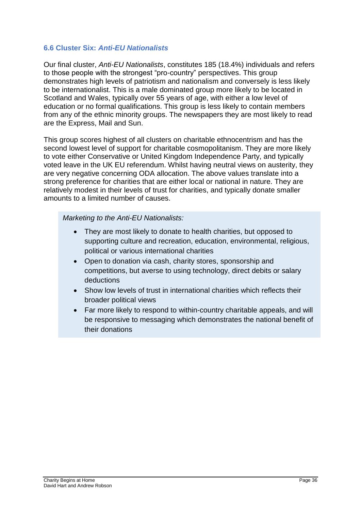## **6.6 Cluster Six:** *Anti-EU Nationalists*

Our final cluster, *Anti-EU Nationalists*, constitutes 185 (18.4%) individuals and refers to those people with the strongest "pro-country" perspectives. This group demonstrates high levels of patriotism and nationalism and conversely is less likely to be internationalist. This is a male dominated group more likely to be located in Scotland and Wales, typically over 55 years of age, with either a low level of education or no formal qualifications. This group is less likely to contain members from any of the ethnic minority groups. The newspapers they are most likely to read are the Express, Mail and Sun.

This group scores highest of all clusters on charitable ethnocentrism and has the second lowest level of support for charitable cosmopolitanism. They are more likely to vote either Conservative or United Kingdom Independence Party, and typically voted leave in the UK EU referendum. Whilst having neutral views on austerity, they are very negative concerning ODA allocation. The above values translate into a strong preference for charities that are either local or national in nature. They are relatively modest in their levels of trust for charities, and typically donate smaller amounts to a limited number of causes.

*Marketing to the Anti-EU Nationalists:*

- They are most likely to donate to health charities, but opposed to supporting culture and recreation, education, environmental, religious, political or various international charities
- Open to donation via cash, charity stores, sponsorship and competitions, but averse to using technology, direct debits or salary deductions
- Show low levels of trust in international charities which reflects their broader political views
- Far more likely to respond to within-country charitable appeals, and will be responsive to messaging which demonstrates the national benefit of their donations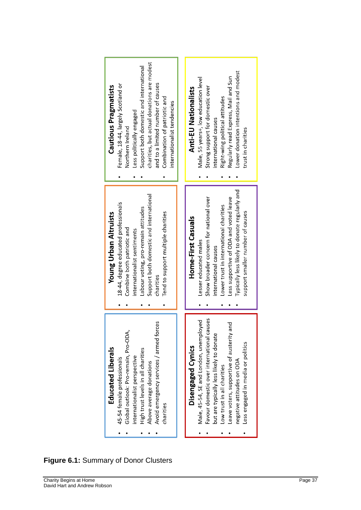![](_page_37_Figure_0.jpeg)

## **Figure 6.1:** Summary of Donor Clusters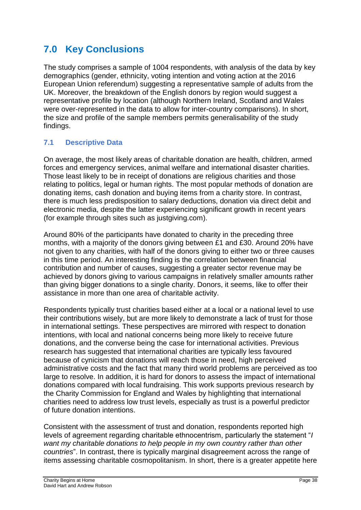# **7.0 Key Conclusions**

The study comprises a sample of 1004 respondents, with analysis of the data by key demographics (gender, ethnicity, voting intention and voting action at the 2016 European Union referendum) suggesting a representative sample of adults from the UK. Moreover, the breakdown of the English donors by region would suggest a representative profile by location (although Northern Ireland, Scotland and Wales were over-represented in the data to allow for inter-country comparisons). In short, the size and profile of the sample members permits generalisability of the study findings.

## **7.1 Descriptive Data**

On average, the most likely areas of charitable donation are health, children, armed forces and emergency services, animal welfare and international disaster charities. Those least likely to be in receipt of donations are religious charities and those relating to politics, legal or human rights. The most popular methods of donation are donating items, cash donation and buying items from a charity store. In contrast, there is much less predisposition to salary deductions, donation via direct debit and electronic media, despite the latter experiencing significant growth in recent years (for example through sites such as justgiving.com).

Around 80% of the participants have donated to charity in the preceding three months, with a majority of the donors giving between £1 and £30. Around 20% have not given to any charities, with half of the donors giving to either two or three causes in this time period. An interesting finding is the correlation between financial contribution and number of causes, suggesting a greater sector revenue may be achieved by donors giving to various campaigns in relatively smaller amounts rather than giving bigger donations to a single charity. Donors, it seems, like to offer their assistance in more than one area of charitable activity.

Respondents typically trust charities based either at a local or a national level to use their contributions wisely, but are more likely to demonstrate a lack of trust for those in international settings. These perspectives are mirrored with respect to donation intentions, with local and national concerns being more likely to receive future donations, and the converse being the case for international activities. Previous research has suggested that international charities are typically less favoured because of cynicism that donations will reach those in need, high perceived administrative costs and the fact that many third world problems are perceived as too large to resolve. In addition, it is hard for donors to assess the impact of international donations compared with local fundraising. This work supports previous research by the Charity Commission for England and Wales by highlighting that international charities need to address low trust levels, especially as trust is a powerful predictor of future donation intentions.

Consistent with the assessment of trust and donation, respondents reported high levels of agreement regarding charitable ethnocentrism, particularly the statement "*I want my charitable donations to help people in my own country rather than other countries*". In contrast, there is typically marginal disagreement across the range of items assessing charitable cosmopolitanism. In short, there is a greater appetite here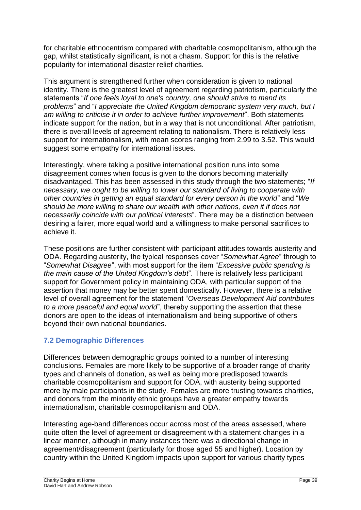for charitable ethnocentrism compared with charitable cosmopolitanism, although the gap, whilst statistically significant, is not a chasm. Support for this is the relative popularity for international disaster relief charities.

This argument is strengthened further when consideration is given to national identity. There is the greatest level of agreement regarding patriotism, particularly the statements "*If one feels loyal to one's country, one should strive to mend its problems*" and "*I appreciate the United Kingdom democratic system very much, but I am willing to criticise it in order to achieve further improvement*". Both statements indicate support for the nation, but in a way that is not unconditional. After patriotism, there is overall levels of agreement relating to nationalism. There is relatively less support for internationalism, with mean scores ranging from 2.99 to 3.52. This would suggest some empathy for international issues.

Interestingly, where taking a positive international position runs into some disagreement comes when focus is given to the donors becoming materially disadvantaged. This has been assessed in this study through the two statements; "*If necessary, we ought to be willing to lower our standard of living to cooperate with other countries in getting an equal standard for every person in the world*" and "*We should be more willing to share our wealth with other nations, even it if does not necessarily coincide with our political interests*". There may be a distinction between desiring a fairer, more equal world and a willingness to make personal sacrifices to achieve it.

These positions are further consistent with participant attitudes towards austerity and ODA. Regarding austerity, the typical responses cover "*Somewhat Agree*" through to "*Somewhat Disagree*", with most support for the item "*Excessive public spending is the main cause of the United Kingdom's debt*". There is relatively less participant support for Government policy in maintaining ODA, with particular support of the assertion that money may be better spent domestically. However, there is a relative level of overall agreement for the statement "*Overseas Development Aid contributes to a more peaceful and equal world*", thereby supporting the assertion that these donors are open to the ideas of internationalism and being supportive of others beyond their own national boundaries.

## **7.2 Demographic Differences**

Differences between demographic groups pointed to a number of interesting conclusions. Females are more likely to be supportive of a broader range of charity types and channels of donation, as well as being more predisposed towards charitable cosmopolitanism and support for ODA, with austerity being supported more by male participants in the study. Females are more trusting towards charities, and donors from the minority ethnic groups have a greater empathy towards internationalism, charitable cosmopolitanism and ODA.

Interesting age-band differences occur across most of the areas assessed, where quite often the level of agreement or disagreement with a statement changes in a linear manner, although in many instances there was a directional change in agreement/disagreement (particularly for those aged 55 and higher). Location by country within the United Kingdom impacts upon support for various charity types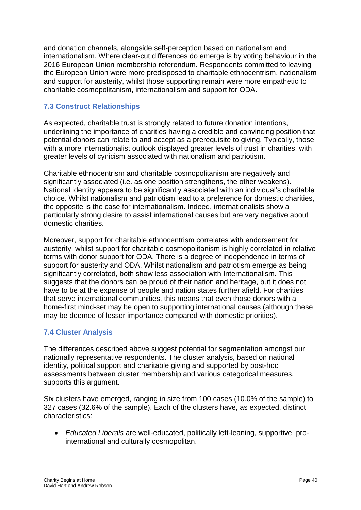and donation channels, alongside self-perception based on nationalism and internationalism. Where clear-cut differences do emerge is by voting behaviour in the 2016 European Union membership referendum. Respondents committed to leaving the European Union were more predisposed to charitable ethnocentrism, nationalism and support for austerity, whilst those supporting remain were more empathetic to charitable cosmopolitanism, internationalism and support for ODA.

## **7.3 Construct Relationships**

As expected, charitable trust is strongly related to future donation intentions, underlining the importance of charities having a credible and convincing position that potential donors can relate to and accept as a prerequisite to giving. Typically, those with a more internationalist outlook displayed greater levels of trust in charities, with greater levels of cynicism associated with nationalism and patriotism.

Charitable ethnocentrism and charitable cosmopolitanism are negatively and significantly associated (i.e. as one position strengthens, the other weakens). National identity appears to be significantly associated with an individual's charitable choice. Whilst nationalism and patriotism lead to a preference for domestic charities, the opposite is the case for internationalism. Indeed, internationalists show a particularly strong desire to assist international causes but are very negative about domestic charities.

Moreover, support for charitable ethnocentrism correlates with endorsement for austerity, whilst support for charitable cosmopolitanism is highly correlated in relative terms with donor support for ODA. There is a degree of independence in terms of support for austerity and ODA. Whilst nationalism and patriotism emerge as being significantly correlated, both show less association with Internationalism. This suggests that the donors can be proud of their nation and heritage, but it does not have to be at the expense of people and nation states further afield. For charities that serve international communities, this means that even those donors with a home-first mind-set may be open to supporting international causes (although these may be deemed of lesser importance compared with domestic priorities).

## **7.4 Cluster Analysis**

The differences described above suggest potential for segmentation amongst our nationally representative respondents. The cluster analysis, based on national identity, political support and charitable giving and supported by post-hoc assessments between cluster membership and various categorical measures, supports this argument.

Six clusters have emerged, ranging in size from 100 cases (10.0% of the sample) to 327 cases (32.6% of the sample). Each of the clusters have, as expected, distinct characteristics:

 *Educated Liberals* are well-educated, politically left-leaning, supportive, prointernational and culturally cosmopolitan.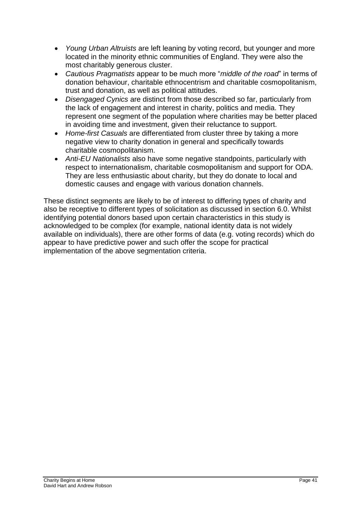- *Young Urban Altruists* are left leaning by voting record, but younger and more located in the minority ethnic communities of England. They were also the most charitably generous cluster.
- *Cautious Pragmatists* appear to be much more "*middle of the road*" in terms of donation behaviour, charitable ethnocentrism and charitable cosmopolitanism, trust and donation, as well as political attitudes.
- *Disengaged Cynics* are distinct from those described so far, particularly from the lack of engagement and interest in charity, politics and media. They represent one segment of the population where charities may be better placed in avoiding time and investment, given their reluctance to support.
- *Home-first Casuals* are differentiated from cluster three by taking a more negative view to charity donation in general and specifically towards charitable cosmopolitanism.
- *Anti-EU Nationalists* also have some negative standpoints, particularly with respect to internationalism, charitable cosmopolitanism and support for ODA. They are less enthusiastic about charity, but they do donate to local and domestic causes and engage with various donation channels.

These distinct segments are likely to be of interest to differing types of charity and also be receptive to different types of solicitation as discussed in section 6.0. Whilst identifying potential donors based upon certain characteristics in this study is acknowledged to be complex (for example, national identity data is not widely available on individuals), there are other forms of data (e.g. voting records) which do appear to have predictive power and such offer the scope for practical implementation of the above segmentation criteria.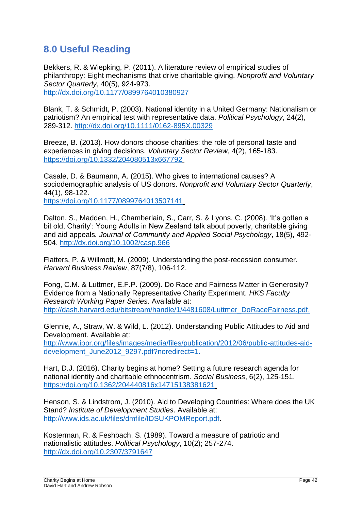# **8.0 Useful Reading**

Bekkers, R. & Wiepking, P. (2011). A literature review of empirical studies of philanthropy: Eight mechanisms that drive charitable giving. *Nonprofit and Voluntary Sector Quarterly*, 40(5), 924-973. <http://dx.doi.org/10.1177/0899764010380927>

Blank, T. & Schmidt, P. (2003). National identity in a United Germany: Nationalism or patriotism? An empirical test with representative data. *Political Psychology*, 24(2), 289-312.<http://dx.doi.org/10.1111/0162-895X.00329>

Breeze, B. (2013). How donors choose charities: the role of personal taste and experiences in giving decisions. *Voluntary Sector Review*, 4(2), 165-183. <https://doi.org/10.1332/204080513x667792>

Casale, D. & Baumann, A. (2015). Who gives to international causes? A sociodemographic analysis of US donors. *Nonprofit and Voluntary Sector Quarterly*, 44(1), 98-122. <https://doi.org/10.1177/0899764013507141>

Dalton, S., Madden, H., Chamberlain, S., Carr, S. & Lyons, C. (2008). 'It's gotten a bit old, Charity': Young Adults in New Zealand talk about poverty, charitable giving and aid appeals*. Journal of Community and Applied Social Psychology*, 18(5), 492- 504.<http://dx.doi.org/10.1002/casp.966>

Flatters, P. & Willmott, M. (2009). Understanding the post-recession consumer. *Harvard Business Review*, 87(7/8), 106-112.

Fong, C.M. & Luttmer, E.F.P. (2009). Do Race and Fairness Matter in Generosity? Evidence from a Nationally Representative Charity Experiment. *HKS Faculty Research Working Paper Series*. Available at: [http://dash.harvard.edu/bitstream/handle/1/4481608/Luttmer\\_DoRaceFairness.pdf.](http://dash.harvard.edu/bitstream/handle/1/4481608/Luttmer_DoRaceFairness.pdf)

Glennie, A., Straw, W. & Wild, L. (2012). Understanding Public Attitudes to Aid and Development. Available at:

[http://www.ippr.org/files/images/media/files/publication/2012/06/public-attitudes-aid](http://www.ippr.org/files/images/media/files/publication/2012/06/public-attitudes-aid-development_June2012_9297.pdf?noredirect=1)[development\\_June2012\\_9297.pdf?noredirect=1.](http://www.ippr.org/files/images/media/files/publication/2012/06/public-attitudes-aid-development_June2012_9297.pdf?noredirect=1)

Hart, D.J. (2016). Charity begins at home? Setting a future research agenda for national identity and charitable ethnocentrism. *Social Business*, 6(2), 125-151. <https://doi.org/10.1362/204440816x14715138381621>

Henson, S. & Lindstrom, J. (2010). Aid to Developing Countries: Where does the UK Stand? *Institute of Development Studies*. Available at: [http://www.ids.ac.uk/files/dmfile/IDSUKPOMReport.pdf.](http://www.ids.ac.uk/files/dmfile/IDSUKPOMReport.pdf)

Kosterman, R. & Feshbach, S. (1989). Toward a measure of patriotic and nationalistic attitudes. *Political Psychology*, 10(2); 257-274. <http://dx.doi.org/10.2307/3791647>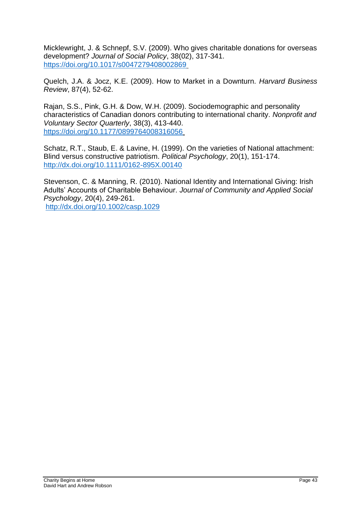Micklewright, J. & Schnepf, S.V. (2009). Who gives charitable donations for overseas development? *Journal of Social Policy*, 38(02), 317-341. <https://doi.org/10.1017/s0047279408002869>

Quelch, J.A. & Jocz, K.E. (2009). How to Market in a Downturn. *Harvard Business Review*, 87(4), 52-62.

Rajan, S.S., Pink, G.H. & Dow, W.H. (2009). Sociodemographic and personality characteristics of Canadian donors contributing to international charity. *Nonprofit and Voluntary Sector Quarterly*, 38(3), 413-440. <https://doi.org/10.1177/0899764008316056>

Schatz, R.T., Staub, E. & Lavine, H. (1999). On the varieties of National attachment: Blind versus constructive patriotism. *Political Psychology*, 20(1), 151-174. <http://dx.doi.org/10.1111/0162-895X.00140>

Stevenson, C. & Manning, R. (2010). National Identity and International Giving: Irish Adults' Accounts of Charitable Behaviour. *Journal of Community and Applied Social Psychology*, 20(4), 249-261. <http://dx.doi.org/10.1002/casp.1029>